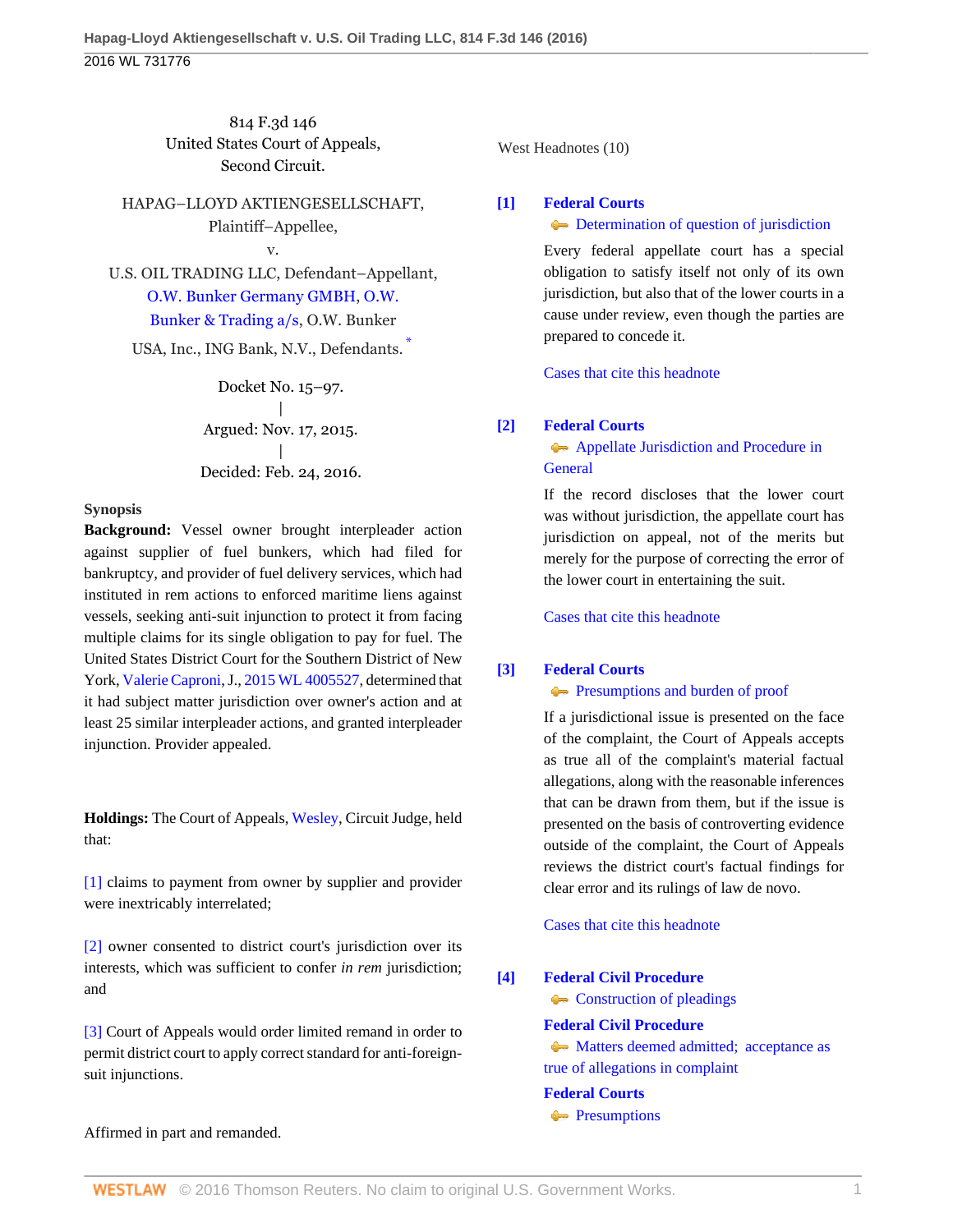814 F.3d 146 United States Court of Appeals, Second Circuit.

HAPAG–LLOYD AKTIENGESELLSCHAFT, Plaintiff–Appellee,

U.S. OIL TRADING LLC, Defendant–Appellant, [O.W. Bunker Germany GMBH,](http://www.westlaw.com/Search/Results.html?query=advanced%3a+OAID(5000680319)&saveJuris=False&contentType=BUSINESS-INVESTIGATOR&startIndex=1&contextData=(sc.Default)&categoryPageUrl=Home%2fCompanyInvestigator&originationContext=document&vr=3.0&rs=cblt1.0&transitionType=DocumentItem) [O.W.](http://www.westlaw.com/Search/Results.html?query=advanced%3a+OAID(4296056640)&saveJuris=False&contentType=BUSINESS-INVESTIGATOR&startIndex=1&contextData=(sc.Default)&categoryPageUrl=Home%2fCompanyInvestigator&originationContext=document&vr=3.0&rs=cblt1.0&transitionType=DocumentItem) [Bunker & Trading a/s](http://www.westlaw.com/Search/Results.html?query=advanced%3a+OAID(4296056640)&saveJuris=False&contentType=BUSINESS-INVESTIGATOR&startIndex=1&contextData=(sc.Default)&categoryPageUrl=Home%2fCompanyInvestigator&originationContext=document&vr=3.0&rs=cblt1.0&transitionType=DocumentItem), O.W. Bunker

v.

USA, Inc., ING Bank, N.V., Defendants. [\\*](#page-6-0)

Docket No. 15–97. | Argued: Nov. 17, 2015. | Decided: Feb. 24, 2016.

# **Synopsis**

**Background:** Vessel owner brought interpleader action against supplier of fuel bunkers, which had filed for bankruptcy, and provider of fuel delivery services, which had instituted in rem actions to enforced maritime liens against vessels, seeking anti-suit injunction to protect it from facing multiple claims for its single obligation to pay for fuel. The United States District Court for the Southern District of New York, [Valerie Caproni](http://www.westlaw.com/Link/Document/FullText?findType=h&pubNum=176284&cite=0483883501&originatingDoc=I57133910db7211e5b86bd602cb8781fa&refType=RQ&originationContext=document&vr=3.0&rs=cblt1.0&transitionType=DocumentItem&contextData=(sc.UserEnteredCitation)), J., [2015 WL 4005527](http://www.westlaw.com/Link/Document/FullText?findType=Y&serNum=2036591303&pubNum=0000999&originatingDoc=I57133910db7211e5b86bd602cb8781fa&refType=RP&originationContext=document&vr=3.0&rs=cblt1.0&transitionType=DocumentItem&contextData=(sc.UserEnteredCitation)), determined that it had subject matter jurisdiction over owner's action and at least 25 similar interpleader actions, and granted interpleader injunction. Provider appealed.

**Holdings:** The Court of Appeals, [Wesley,](http://www.westlaw.com/Link/Document/FullText?findType=h&pubNum=176284&cite=0163021901&originatingDoc=I57133910db7211e5b86bd602cb8781fa&refType=RQ&originationContext=document&vr=3.0&rs=cblt1.0&transitionType=DocumentItem&contextData=(sc.UserEnteredCitation)) Circuit Judge, held that:

[\[1\]](#page-1-0) claims to payment from owner by supplier and provider were inextricably interrelated;

[\[2\]](#page-1-1) owner consented to district court's jurisdiction over its interests, which was sufficient to confer *in rem* jurisdiction; and

[\[3\]](#page-1-2) Court of Appeals would order limited remand in order to permit district court to apply correct standard for anti-foreignsuit injunctions.

Affirmed in part and remanded.

West Headnotes (10)

<span id="page-0-0"></span>**[\[1\]](#page-3-0) [Federal Courts](http://www.westlaw.com/Browse/Home/KeyNumber/170B/View.html?docGuid=I57133910db7211e5b86bd602cb8781fa&originationContext=document&vr=3.0&rs=cblt1.0&transitionType=DocumentItem&contextData=(sc.UserEnteredCitation))**

#### **[Determination of question of jurisdiction](http://www.westlaw.com/Browse/Home/KeyNumber/170Bk3252/View.html?docGuid=I57133910db7211e5b86bd602cb8781fa&originationContext=document&vr=3.0&rs=cblt1.0&transitionType=DocumentItem&contextData=(sc.UserEnteredCitation))**

Every federal appellate court has a special obligation to satisfy itself not only of its own jurisdiction, but also that of the lower courts in a cause under review, even though the parties are prepared to concede it.

[Cases that cite this headnote](http://www.westlaw.com/Link/RelatedInformation/DocHeadnoteLink?docGuid=I57133910db7211e5b86bd602cb8781fa&headnoteId=203835160800120160404034429&originationContext=document&vr=3.0&rs=cblt1.0&transitionType=CitingReferences&contextData=(sc.UserEnteredCitation))

# <span id="page-0-4"></span><span id="page-0-1"></span>**[\[2\]](#page-3-1) [Federal Courts](http://www.westlaw.com/Browse/Home/KeyNumber/170B/View.html?docGuid=I57133910db7211e5b86bd602cb8781fa&originationContext=document&vr=3.0&rs=cblt1.0&transitionType=DocumentItem&contextData=(sc.UserEnteredCitation))**

**[Appellate Jurisdiction and Procedure in](http://www.westlaw.com/Browse/Home/KeyNumber/170BXVII(B)/View.html?docGuid=I57133910db7211e5b86bd602cb8781fa&originationContext=document&vr=3.0&rs=cblt1.0&transitionType=DocumentItem&contextData=(sc.UserEnteredCitation)) [General](http://www.westlaw.com/Browse/Home/KeyNumber/170BXVII(B)/View.html?docGuid=I57133910db7211e5b86bd602cb8781fa&originationContext=document&vr=3.0&rs=cblt1.0&transitionType=DocumentItem&contextData=(sc.UserEnteredCitation))** 

If the record discloses that the lower court was without jurisdiction, the appellate court has jurisdiction on appeal, not of the merits but merely for the purpose of correcting the error of the lower court in entertaining the suit.

[Cases that cite this headnote](http://www.westlaw.com/Link/RelatedInformation/DocHeadnoteLink?docGuid=I57133910db7211e5b86bd602cb8781fa&headnoteId=203835160800220160404034429&originationContext=document&vr=3.0&rs=cblt1.0&transitionType=CitingReferences&contextData=(sc.UserEnteredCitation))

#### <span id="page-0-2"></span>**[\[3\]](#page-3-2) [Federal Courts](http://www.westlaw.com/Browse/Home/KeyNumber/170B/View.html?docGuid=I57133910db7211e5b86bd602cb8781fa&originationContext=document&vr=3.0&rs=cblt1.0&transitionType=DocumentItem&contextData=(sc.UserEnteredCitation))**

**[Presumptions and burden of proof](http://www.westlaw.com/Browse/Home/KeyNumber/170Bk2081/View.html?docGuid=I57133910db7211e5b86bd602cb8781fa&originationContext=document&vr=3.0&rs=cblt1.0&transitionType=DocumentItem&contextData=(sc.UserEnteredCitation))** 

If a jurisdictional issue is presented on the face of the complaint, the Court of Appeals accepts as true all of the complaint's material factual allegations, along with the reasonable inferences that can be drawn from them, but if the issue is presented on the basis of controverting evidence outside of the complaint, the Court of Appeals reviews the district court's factual findings for clear error and its rulings of law de novo.

[Cases that cite this headnote](http://www.westlaw.com/Link/RelatedInformation/DocHeadnoteLink?docGuid=I57133910db7211e5b86bd602cb8781fa&headnoteId=203835160800320160404034429&originationContext=document&vr=3.0&rs=cblt1.0&transitionType=CitingReferences&contextData=(sc.UserEnteredCitation))

<span id="page-0-3"></span>**[\[4\]](#page-3-3) [Federal Civil Procedure](http://www.westlaw.com/Browse/Home/KeyNumber/170A/View.html?docGuid=I57133910db7211e5b86bd602cb8781fa&originationContext=document&vr=3.0&rs=cblt1.0&transitionType=DocumentItem&contextData=(sc.UserEnteredCitation))**

**[Construction of pleadings](http://www.westlaw.com/Browse/Home/KeyNumber/170Ak1829/View.html?docGuid=I57133910db7211e5b86bd602cb8781fa&originationContext=document&vr=3.0&rs=cblt1.0&transitionType=DocumentItem&contextData=(sc.UserEnteredCitation))** 

# **[Federal Civil Procedure](http://www.westlaw.com/Browse/Home/KeyNumber/170A/View.html?docGuid=I57133910db7211e5b86bd602cb8781fa&originationContext=document&vr=3.0&rs=cblt1.0&transitionType=DocumentItem&contextData=(sc.UserEnteredCitation))**

• [Matters deemed admitted; acceptance as](http://www.westlaw.com/Browse/Home/KeyNumber/170Ak1835/View.html?docGuid=I57133910db7211e5b86bd602cb8781fa&originationContext=document&vr=3.0&rs=cblt1.0&transitionType=DocumentItem&contextData=(sc.UserEnteredCitation)) [true of allegations in complaint](http://www.westlaw.com/Browse/Home/KeyNumber/170Ak1835/View.html?docGuid=I57133910db7211e5b86bd602cb8781fa&originationContext=document&vr=3.0&rs=cblt1.0&transitionType=DocumentItem&contextData=(sc.UserEnteredCitation))

### **[Federal Courts](http://www.westlaw.com/Browse/Home/KeyNumber/170B/View.html?docGuid=I57133910db7211e5b86bd602cb8781fa&originationContext=document&vr=3.0&rs=cblt1.0&transitionType=DocumentItem&contextData=(sc.UserEnteredCitation))**

**[Presumptions](http://www.westlaw.com/Browse/Home/KeyNumber/170BXVII(K)3/View.html?docGuid=I57133910db7211e5b86bd602cb8781fa&originationContext=document&vr=3.0&rs=cblt1.0&transitionType=DocumentItem&contextData=(sc.UserEnteredCitation))**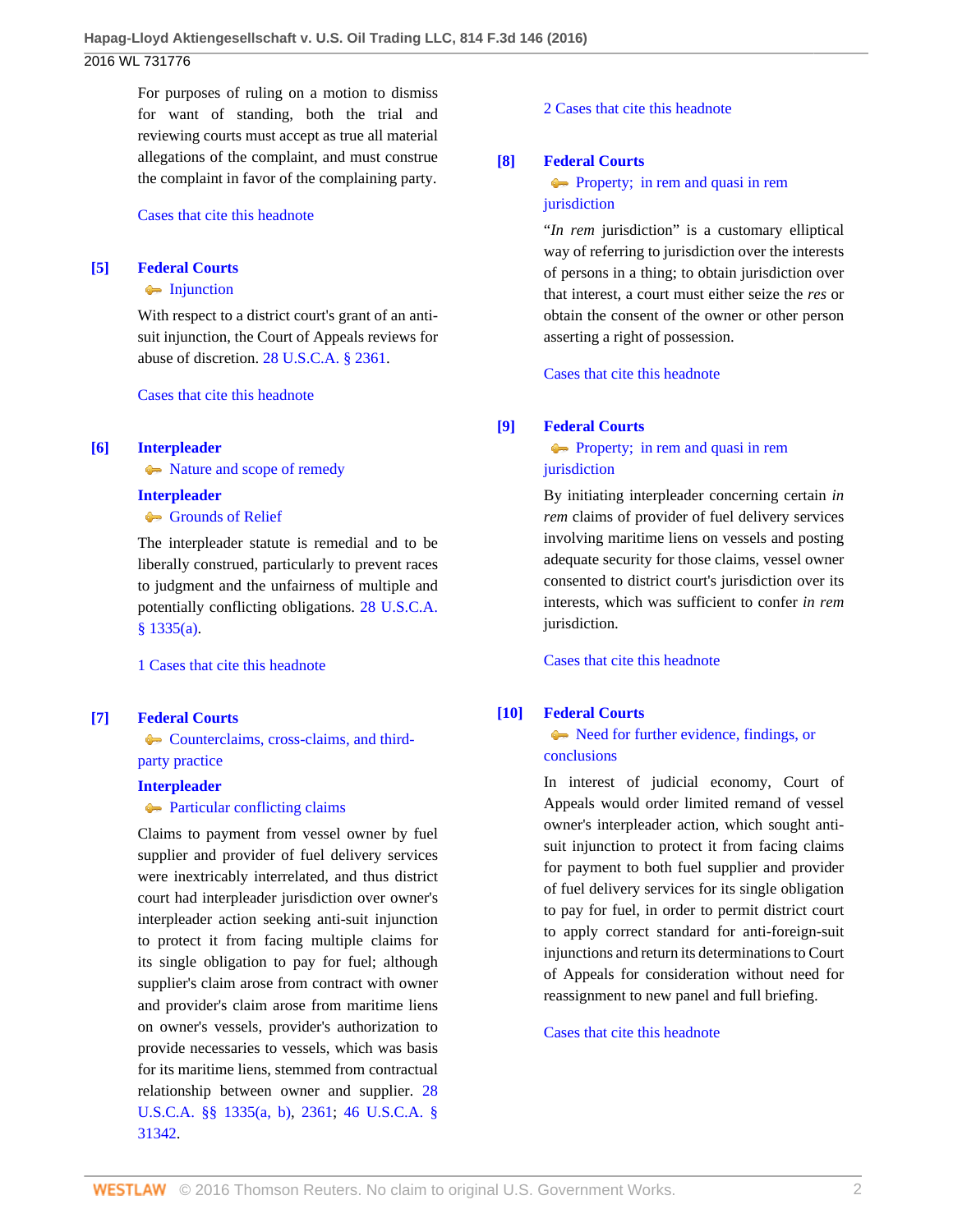2016 WL 731776

For purposes of ruling on a motion to dismiss for want of standing, both the trial and reviewing courts must accept as true all material allegations of the complaint, and must construe the complaint in favor of the complaining party.

[Cases that cite this headnote](http://www.westlaw.com/Link/RelatedInformation/DocHeadnoteLink?docGuid=I57133910db7211e5b86bd602cb8781fa&headnoteId=203835160800420160404034429&originationContext=document&vr=3.0&rs=cblt1.0&transitionType=CitingReferences&contextData=(sc.UserEnteredCitation))

### <span id="page-1-3"></span>**[\[5\]](#page-3-4) [Federal Courts](http://www.westlaw.com/Browse/Home/KeyNumber/170B/View.html?docGuid=I57133910db7211e5b86bd602cb8781fa&originationContext=document&vr=3.0&rs=cblt1.0&transitionType=DocumentItem&contextData=(sc.UserEnteredCitation))**

#### **[Injunction](http://www.westlaw.com/Browse/Home/KeyNumber/170Bk3616/View.html?docGuid=I57133910db7211e5b86bd602cb8781fa&originationContext=document&vr=3.0&rs=cblt1.0&transitionType=DocumentItem&contextData=(sc.UserEnteredCitation))**

With respect to a district court's grant of an antisuit injunction, the Court of Appeals reviews for abuse of discretion. [28 U.S.C.A. § 2361](http://www.westlaw.com/Link/Document/FullText?findType=L&pubNum=1000546&cite=28USCAS2361&originatingDoc=I57133910db7211e5b86bd602cb8781fa&refType=LQ&originationContext=document&vr=3.0&rs=cblt1.0&transitionType=DocumentItem&contextData=(sc.UserEnteredCitation)).

[Cases that cite this headnote](http://www.westlaw.com/Link/RelatedInformation/DocHeadnoteLink?docGuid=I57133910db7211e5b86bd602cb8781fa&headnoteId=203835160800520160404034429&originationContext=document&vr=3.0&rs=cblt1.0&transitionType=CitingReferences&contextData=(sc.UserEnteredCitation))

#### <span id="page-1-4"></span>**[\[6\]](#page-3-5) [Interpleader](http://www.westlaw.com/Browse/Home/KeyNumber/222/View.html?docGuid=I57133910db7211e5b86bd602cb8781fa&originationContext=document&vr=3.0&rs=cblt1.0&transitionType=DocumentItem&contextData=(sc.UserEnteredCitation))**

• [Nature and scope of remedy](http://www.westlaw.com/Browse/Home/KeyNumber/222k1/View.html?docGuid=I57133910db7211e5b86bd602cb8781fa&originationContext=document&vr=3.0&rs=cblt1.0&transitionType=DocumentItem&contextData=(sc.UserEnteredCitation))

#### **[Interpleader](http://www.westlaw.com/Browse/Home/KeyNumber/222/View.html?docGuid=I57133910db7211e5b86bd602cb8781fa&originationContext=document&vr=3.0&rs=cblt1.0&transitionType=DocumentItem&contextData=(sc.UserEnteredCitation))**

[Grounds of Relief](http://www.westlaw.com/Browse/Home/KeyNumber/222k5/View.html?docGuid=I57133910db7211e5b86bd602cb8781fa&originationContext=document&vr=3.0&rs=cblt1.0&transitionType=DocumentItem&contextData=(sc.UserEnteredCitation))

The interpleader statute is remedial and to be liberally construed, particularly to prevent races to judgment and the unfairness of multiple and potentially conflicting obligations. [28 U.S.C.A.](http://www.westlaw.com/Link/Document/FullText?findType=L&pubNum=1000546&cite=28USCAS1335&originatingDoc=I57133910db7211e5b86bd602cb8781fa&refType=RB&originationContext=document&vr=3.0&rs=cblt1.0&transitionType=DocumentItem&contextData=(sc.UserEnteredCitation)#co_pp_8b3b0000958a4) [§ 1335\(a\)](http://www.westlaw.com/Link/Document/FullText?findType=L&pubNum=1000546&cite=28USCAS1335&originatingDoc=I57133910db7211e5b86bd602cb8781fa&refType=RB&originationContext=document&vr=3.0&rs=cblt1.0&transitionType=DocumentItem&contextData=(sc.UserEnteredCitation)#co_pp_8b3b0000958a4).

[1 Cases that cite this headnote](http://www.westlaw.com/Link/RelatedInformation/DocHeadnoteLink?docGuid=I57133910db7211e5b86bd602cb8781fa&headnoteId=203835160800620160404034429&originationContext=document&vr=3.0&rs=cblt1.0&transitionType=CitingReferences&contextData=(sc.UserEnteredCitation))

# <span id="page-1-0"></span>**[\[7\]](#page-3-6) [Federal Courts](http://www.westlaw.com/Browse/Home/KeyNumber/170B/View.html?docGuid=I57133910db7211e5b86bd602cb8781fa&originationContext=document&vr=3.0&rs=cblt1.0&transitionType=DocumentItem&contextData=(sc.UserEnteredCitation))**

[Counterclaims, cross-claims, and third](http://www.westlaw.com/Browse/Home/KeyNumber/170Bk2563/View.html?docGuid=I57133910db7211e5b86bd602cb8781fa&originationContext=document&vr=3.0&rs=cblt1.0&transitionType=DocumentItem&contextData=(sc.UserEnteredCitation))[party practice](http://www.westlaw.com/Browse/Home/KeyNumber/170Bk2563/View.html?docGuid=I57133910db7211e5b86bd602cb8781fa&originationContext=document&vr=3.0&rs=cblt1.0&transitionType=DocumentItem&contextData=(sc.UserEnteredCitation))

#### **[Interpleader](http://www.westlaw.com/Browse/Home/KeyNumber/222/View.html?docGuid=I57133910db7211e5b86bd602cb8781fa&originationContext=document&vr=3.0&rs=cblt1.0&transitionType=DocumentItem&contextData=(sc.UserEnteredCitation))**

#### **[Particular conflicting claims](http://www.westlaw.com/Browse/Home/KeyNumber/222k11/View.html?docGuid=I57133910db7211e5b86bd602cb8781fa&originationContext=document&vr=3.0&rs=cblt1.0&transitionType=DocumentItem&contextData=(sc.UserEnteredCitation))**

Claims to payment from vessel owner by fuel supplier and provider of fuel delivery services were inextricably interrelated, and thus district court had interpleader jurisdiction over owner's interpleader action seeking anti-suit injunction to protect it from facing multiple claims for its single obligation to pay for fuel; although supplier's claim arose from contract with owner and provider's claim arose from maritime liens on owner's vessels, provider's authorization to provide necessaries to vessels, which was basis for its maritime liens, stemmed from contractual relationship between owner and supplier. [28](http://www.westlaw.com/Link/Document/FullText?findType=L&pubNum=1000546&cite=28USCAS1335&originatingDoc=I57133910db7211e5b86bd602cb8781fa&refType=LQ&originationContext=document&vr=3.0&rs=cblt1.0&transitionType=DocumentItem&contextData=(sc.UserEnteredCitation)) [U.S.C.A. §§ 1335\(a, b\),](http://www.westlaw.com/Link/Document/FullText?findType=L&pubNum=1000546&cite=28USCAS1335&originatingDoc=I57133910db7211e5b86bd602cb8781fa&refType=LQ&originationContext=document&vr=3.0&rs=cblt1.0&transitionType=DocumentItem&contextData=(sc.UserEnteredCitation)) [2361;](http://www.westlaw.com/Link/Document/FullText?findType=L&pubNum=1000546&cite=28USCAS2361&originatingDoc=I57133910db7211e5b86bd602cb8781fa&refType=LQ&originationContext=document&vr=3.0&rs=cblt1.0&transitionType=DocumentItem&contextData=(sc.UserEnteredCitation)) [46 U.S.C.A. §](http://www.westlaw.com/Link/Document/FullText?findType=L&pubNum=1000546&cite=46USCAS31342&originatingDoc=I57133910db7211e5b86bd602cb8781fa&refType=LQ&originationContext=document&vr=3.0&rs=cblt1.0&transitionType=DocumentItem&contextData=(sc.UserEnteredCitation)) [31342.](http://www.westlaw.com/Link/Document/FullText?findType=L&pubNum=1000546&cite=46USCAS31342&originatingDoc=I57133910db7211e5b86bd602cb8781fa&refType=LQ&originationContext=document&vr=3.0&rs=cblt1.0&transitionType=DocumentItem&contextData=(sc.UserEnteredCitation))

#### [2 Cases that cite this headnote](http://www.westlaw.com/Link/RelatedInformation/DocHeadnoteLink?docGuid=I57133910db7211e5b86bd602cb8781fa&headnoteId=203835160800720160404034429&originationContext=document&vr=3.0&rs=cblt1.0&transitionType=CitingReferences&contextData=(sc.UserEnteredCitation))

### <span id="page-1-5"></span>**[\[8\]](#page-4-0) [Federal Courts](http://www.westlaw.com/Browse/Home/KeyNumber/170B/View.html?docGuid=I57133910db7211e5b86bd602cb8781fa&originationContext=document&vr=3.0&rs=cblt1.0&transitionType=DocumentItem&contextData=(sc.UserEnteredCitation))**

# **Property**; in rem and quasi in rem [jurisdiction](http://www.westlaw.com/Browse/Home/KeyNumber/170Bk2033/View.html?docGuid=I57133910db7211e5b86bd602cb8781fa&originationContext=document&vr=3.0&rs=cblt1.0&transitionType=DocumentItem&contextData=(sc.UserEnteredCitation))

"*In rem* jurisdiction" is a customary elliptical way of referring to jurisdiction over the interests of persons in a thing; to obtain jurisdiction over that interest, a court must either seize the *res* or obtain the consent of the owner or other person asserting a right of possession.

[Cases that cite this headnote](http://www.westlaw.com/Link/RelatedInformation/DocHeadnoteLink?docGuid=I57133910db7211e5b86bd602cb8781fa&headnoteId=203835160800820160404034429&originationContext=document&vr=3.0&rs=cblt1.0&transitionType=CitingReferences&contextData=(sc.UserEnteredCitation))

# <span id="page-1-1"></span>**[\[9\]](#page-4-1) [Federal Courts](http://www.westlaw.com/Browse/Home/KeyNumber/170B/View.html?docGuid=I57133910db7211e5b86bd602cb8781fa&originationContext=document&vr=3.0&rs=cblt1.0&transitionType=DocumentItem&contextData=(sc.UserEnteredCitation))**

**Property**; in rem and quasi in rem [jurisdiction](http://www.westlaw.com/Browse/Home/KeyNumber/170Bk2033/View.html?docGuid=I57133910db7211e5b86bd602cb8781fa&originationContext=document&vr=3.0&rs=cblt1.0&transitionType=DocumentItem&contextData=(sc.UserEnteredCitation))

By initiating interpleader concerning certain *in rem* claims of provider of fuel delivery services involving maritime liens on vessels and posting adequate security for those claims, vessel owner consented to district court's jurisdiction over its interests, which was sufficient to confer *in rem* jurisdiction.

[Cases that cite this headnote](http://www.westlaw.com/Link/RelatedInformation/DocHeadnoteLink?docGuid=I57133910db7211e5b86bd602cb8781fa&headnoteId=203835160800920160404034429&originationContext=document&vr=3.0&rs=cblt1.0&transitionType=CitingReferences&contextData=(sc.UserEnteredCitation))

# <span id="page-1-2"></span>**[\[10\]](#page-5-0) [Federal Courts](http://www.westlaw.com/Browse/Home/KeyNumber/170B/View.html?docGuid=I57133910db7211e5b86bd602cb8781fa&originationContext=document&vr=3.0&rs=cblt1.0&transitionType=DocumentItem&contextData=(sc.UserEnteredCitation))**

# $\blacklozenge$  [Need for further evidence, findings, or](http://www.westlaw.com/Browse/Home/KeyNumber/170Bk3785/View.html?docGuid=I57133910db7211e5b86bd602cb8781fa&originationContext=document&vr=3.0&rs=cblt1.0&transitionType=DocumentItem&contextData=(sc.UserEnteredCitation)) [conclusions](http://www.westlaw.com/Browse/Home/KeyNumber/170Bk3785/View.html?docGuid=I57133910db7211e5b86bd602cb8781fa&originationContext=document&vr=3.0&rs=cblt1.0&transitionType=DocumentItem&contextData=(sc.UserEnteredCitation))

In interest of judicial economy, Court of Appeals would order limited remand of vessel owner's interpleader action, which sought antisuit injunction to protect it from facing claims for payment to both fuel supplier and provider of fuel delivery services for its single obligation to pay for fuel, in order to permit district court to apply correct standard for anti-foreign-suit injunctions and return its determinations to Court of Appeals for consideration without need for reassignment to new panel and full briefing.

[Cases that cite this headnote](http://www.westlaw.com/Link/RelatedInformation/DocHeadnoteLink?docGuid=I57133910db7211e5b86bd602cb8781fa&headnoteId=203835160801020160404034429&originationContext=document&vr=3.0&rs=cblt1.0&transitionType=CitingReferences&contextData=(sc.UserEnteredCitation))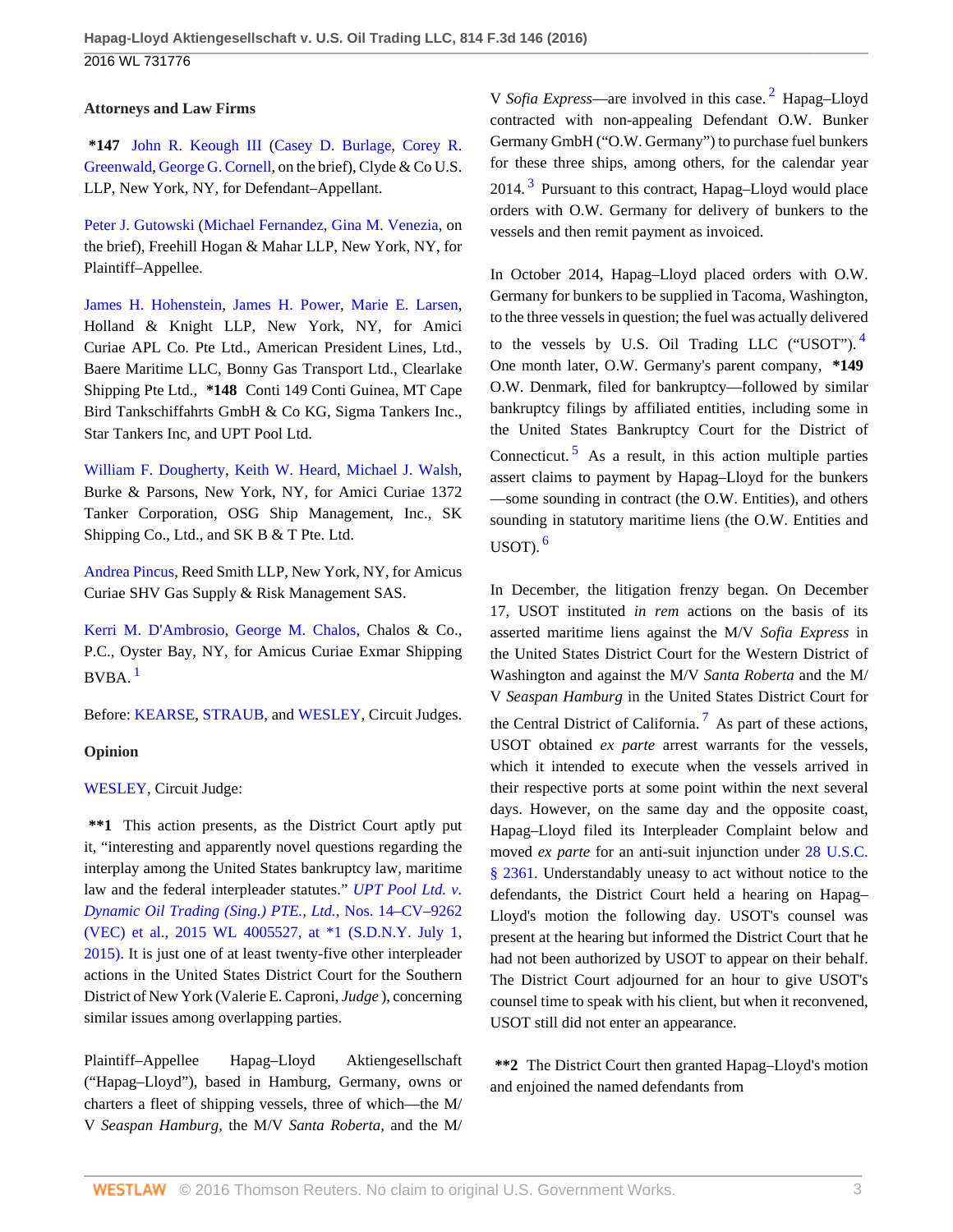### **Attorneys and Law Firms**

**\*147** [John R. Keough III](http://www.westlaw.com/Link/Document/FullText?findType=h&pubNum=176284&cite=0128405801&originatingDoc=I57133910db7211e5b86bd602cb8781fa&refType=RQ&originationContext=document&vr=3.0&rs=cblt1.0&transitionType=DocumentItem&contextData=(sc.UserEnteredCitation)) [\(Casey D. Burlage,](http://www.westlaw.com/Link/Document/FullText?findType=h&pubNum=176284&cite=0456979201&originatingDoc=I57133910db7211e5b86bd602cb8781fa&refType=RQ&originationContext=document&vr=3.0&rs=cblt1.0&transitionType=DocumentItem&contextData=(sc.UserEnteredCitation)) [Corey R.](http://www.westlaw.com/Link/Document/FullText?findType=h&pubNum=176284&cite=0490989699&originatingDoc=I57133910db7211e5b86bd602cb8781fa&refType=RQ&originationContext=document&vr=3.0&rs=cblt1.0&transitionType=DocumentItem&contextData=(sc.UserEnteredCitation)) [Greenwald,](http://www.westlaw.com/Link/Document/FullText?findType=h&pubNum=176284&cite=0490989699&originatingDoc=I57133910db7211e5b86bd602cb8781fa&refType=RQ&originationContext=document&vr=3.0&rs=cblt1.0&transitionType=DocumentItem&contextData=(sc.UserEnteredCitation)) [George G. Cornell,](http://www.westlaw.com/Link/Document/FullText?findType=h&pubNum=176284&cite=0470015501&originatingDoc=I57133910db7211e5b86bd602cb8781fa&refType=RQ&originationContext=document&vr=3.0&rs=cblt1.0&transitionType=DocumentItem&contextData=(sc.UserEnteredCitation)) on the brief), Clyde & Co U.S. LLP, New York, NY, for Defendant–Appellant.

[Peter J. Gutowski](http://www.westlaw.com/Link/Document/FullText?findType=h&pubNum=176284&cite=0119526301&originatingDoc=I57133910db7211e5b86bd602cb8781fa&refType=RQ&originationContext=document&vr=3.0&rs=cblt1.0&transitionType=DocumentItem&contextData=(sc.UserEnteredCitation)) ([Michael Fernandez,](http://www.westlaw.com/Link/Document/FullText?findType=h&pubNum=176284&cite=0261065501&originatingDoc=I57133910db7211e5b86bd602cb8781fa&refType=RQ&originationContext=document&vr=3.0&rs=cblt1.0&transitionType=DocumentItem&contextData=(sc.UserEnteredCitation)) [Gina M. Venezia,](http://www.westlaw.com/Link/Document/FullText?findType=h&pubNum=176284&cite=0326921001&originatingDoc=I57133910db7211e5b86bd602cb8781fa&refType=RQ&originationContext=document&vr=3.0&rs=cblt1.0&transitionType=DocumentItem&contextData=(sc.UserEnteredCitation)) on the brief), Freehill Hogan & Mahar LLP, New York, NY, for Plaintiff–Appellee.

[James H. Hohenstein,](http://www.westlaw.com/Link/Document/FullText?findType=h&pubNum=176284&cite=0218667201&originatingDoc=I57133910db7211e5b86bd602cb8781fa&refType=RQ&originationContext=document&vr=3.0&rs=cblt1.0&transitionType=DocumentItem&contextData=(sc.UserEnteredCitation)) [James H. Power,](http://www.westlaw.com/Link/Document/FullText?findType=h&pubNum=176284&cite=0329669701&originatingDoc=I57133910db7211e5b86bd602cb8781fa&refType=RQ&originationContext=document&vr=3.0&rs=cblt1.0&transitionType=DocumentItem&contextData=(sc.UserEnteredCitation)) [Marie E. Larsen](http://www.westlaw.com/Link/Document/FullText?findType=h&pubNum=176284&cite=0462830301&originatingDoc=I57133910db7211e5b86bd602cb8781fa&refType=RQ&originationContext=document&vr=3.0&rs=cblt1.0&transitionType=DocumentItem&contextData=(sc.UserEnteredCitation)), Holland & Knight LLP, New York, NY, for Amici Curiae APL Co. Pte Ltd., American President Lines, Ltd., Baere Maritime LLC, Bonny Gas Transport Ltd., Clearlake Shipping Pte Ltd., **\*148** Conti 149 Conti Guinea, MT Cape Bird Tankschiffahrts GmbH & Co KG, Sigma Tankers Inc., Star Tankers Inc, and UPT Pool Ltd.

[William F. Dougherty,](http://www.westlaw.com/Link/Document/FullText?findType=h&pubNum=176284&cite=0228502001&originatingDoc=I57133910db7211e5b86bd602cb8781fa&refType=RQ&originationContext=document&vr=3.0&rs=cblt1.0&transitionType=DocumentItem&contextData=(sc.UserEnteredCitation)) [Keith W. Heard,](http://www.westlaw.com/Link/Document/FullText?findType=h&pubNum=176284&cite=0359980601&originatingDoc=I57133910db7211e5b86bd602cb8781fa&refType=RQ&originationContext=document&vr=3.0&rs=cblt1.0&transitionType=DocumentItem&contextData=(sc.UserEnteredCitation)) [Michael J. Walsh](http://www.westlaw.com/Link/Document/FullText?findType=h&pubNum=176284&cite=0221652701&originatingDoc=I57133910db7211e5b86bd602cb8781fa&refType=RQ&originationContext=document&vr=3.0&rs=cblt1.0&transitionType=DocumentItem&contextData=(sc.UserEnteredCitation)), Burke & Parsons, New York, NY, for Amici Curiae 1372 Tanker Corporation, OSG Ship Management, Inc., SK Shipping Co., Ltd., and SK B & T Pte. Ltd.

[Andrea Pincus](http://www.westlaw.com/Link/Document/FullText?findType=h&pubNum=176284&cite=0210586601&originatingDoc=I57133910db7211e5b86bd602cb8781fa&refType=RQ&originationContext=document&vr=3.0&rs=cblt1.0&transitionType=DocumentItem&contextData=(sc.UserEnteredCitation)), Reed Smith LLP, New York, NY, for Amicus Curiae SHV Gas Supply & Risk Management SAS.

<span id="page-2-0"></span>[Kerri M. D'Ambrosio](http://www.westlaw.com/Link/Document/FullText?findType=h&pubNum=176284&cite=0423473301&originatingDoc=I57133910db7211e5b86bd602cb8781fa&refType=RQ&originationContext=document&vr=3.0&rs=cblt1.0&transitionType=DocumentItem&contextData=(sc.UserEnteredCitation)), [George M. Chalos,](http://www.westlaw.com/Link/Document/FullText?findType=h&pubNum=176284&cite=0338724501&originatingDoc=I57133910db7211e5b86bd602cb8781fa&refType=RQ&originationContext=document&vr=3.0&rs=cblt1.0&transitionType=DocumentItem&contextData=(sc.UserEnteredCitation)) Chalos & Co., P.C., Oyster Bay, NY, for Amicus Curiae Exmar Shipping  $BVBA.$ <sup>[1](#page-6-1)</sup>

Before: [KEARSE](http://www.westlaw.com/Link/Document/FullText?findType=h&pubNum=176284&cite=0251134701&originatingDoc=I57133910db7211e5b86bd602cb8781fa&refType=RQ&originationContext=document&vr=3.0&rs=cblt1.0&transitionType=DocumentItem&contextData=(sc.UserEnteredCitation)), [STRAUB,](http://www.westlaw.com/Link/Document/FullText?findType=h&pubNum=176284&cite=0216269701&originatingDoc=I57133910db7211e5b86bd602cb8781fa&refType=RQ&originationContext=document&vr=3.0&rs=cblt1.0&transitionType=DocumentItem&contextData=(sc.UserEnteredCitation)) and [WESLEY](http://www.westlaw.com/Link/Document/FullText?findType=h&pubNum=176284&cite=0163021901&originatingDoc=I57133910db7211e5b86bd602cb8781fa&refType=RQ&originationContext=document&vr=3.0&rs=cblt1.0&transitionType=DocumentItem&contextData=(sc.UserEnteredCitation)), Circuit Judges.

# **Opinion**

[WESLEY,](http://www.westlaw.com/Link/Document/FullText?findType=h&pubNum=176284&cite=0163021901&originatingDoc=I57133910db7211e5b86bd602cb8781fa&refType=RQ&originationContext=document&vr=3.0&rs=cblt1.0&transitionType=DocumentItem&contextData=(sc.UserEnteredCitation)) Circuit Judge:

**\*\*1** This action presents, as the District Court aptly put it, "interesting and apparently novel questions regarding the interplay among the United States bankruptcy law, maritime law and the federal interpleader statutes." *[UPT Pool Ltd. v.](http://www.westlaw.com/Link/Document/FullText?findType=Y&serNum=2036591303&pubNum=0000999&originatingDoc=I57133910db7211e5b86bd602cb8781fa&refType=RP&originationContext=document&vr=3.0&rs=cblt1.0&transitionType=DocumentItem&contextData=(sc.UserEnteredCitation)) [Dynamic Oil Trading \(Sing.\) PTE., Ltd.,](http://www.westlaw.com/Link/Document/FullText?findType=Y&serNum=2036591303&pubNum=0000999&originatingDoc=I57133910db7211e5b86bd602cb8781fa&refType=RP&originationContext=document&vr=3.0&rs=cblt1.0&transitionType=DocumentItem&contextData=(sc.UserEnteredCitation))* Nos. 14–CV–9262 [\(VEC\) et al., 2015 WL 4005527, at \\*1 \(S.D.N.Y. July 1,](http://www.westlaw.com/Link/Document/FullText?findType=Y&serNum=2036591303&pubNum=0000999&originatingDoc=I57133910db7211e5b86bd602cb8781fa&refType=RP&originationContext=document&vr=3.0&rs=cblt1.0&transitionType=DocumentItem&contextData=(sc.UserEnteredCitation)) [2015\)](http://www.westlaw.com/Link/Document/FullText?findType=Y&serNum=2036591303&pubNum=0000999&originatingDoc=I57133910db7211e5b86bd602cb8781fa&refType=RP&originationContext=document&vr=3.0&rs=cblt1.0&transitionType=DocumentItem&contextData=(sc.UserEnteredCitation)). It is just one of at least twenty-five other interpleader actions in the United States District Court for the Southern District of New York (Valerie E. Caproni, *Judge* ), concerning similar issues among overlapping parties.

Plaintiff–Appellee Hapag–Lloyd Aktiengesellschaft ("Hapag–Lloyd"), based in Hamburg, Germany, owns or charters a fleet of shipping vessels, three of which—the M/ V *Seaspan Hamburg,* the M/V *Santa Roberta,* and the M/

<span id="page-2-2"></span><span id="page-2-1"></span>V *Sofia Express*—are involved in this case.<sup>[2](#page-6-2)</sup> Hapag–Lloyd contracted with non-appealing Defendant O.W. Bunker Germany GmbH ("O.W. Germany") to purchase fuel bunkers for these three ships, among others, for the calendar year 2014.<sup>[3](#page-6-3)</sup> Pursuant to this contract, Hapag–Lloyd would place orders with O.W. Germany for delivery of bunkers to the vessels and then remit payment as invoiced.

<span id="page-2-3"></span>In October 2014, Hapag–Lloyd placed orders with O.W. Germany for bunkers to be supplied in Tacoma, Washington, to the three vessels in question; the fuel was actually delivered to the vessels by U.S. Oil Trading LLC ("USOT"). [4](#page-6-4) One month later, O.W. Germany's parent company, **\*149** O.W. Denmark, filed for bankruptcy—followed by similar bankruptcy filings by affiliated entities, including some in the United States Bankruptcy Court for the District of Connecticut.<sup>[5](#page-6-5)</sup> As a result, in this action multiple parties assert claims to payment by Hapag–Lloyd for the bunkers —some sounding in contract (the O.W. Entities), and others sounding in statutory maritime liens (the O.W. Entities and USOT $.6$  $.6$ 

<span id="page-2-6"></span><span id="page-2-5"></span><span id="page-2-4"></span>In December, the litigation frenzy began. On December 17, USOT instituted *in rem* actions on the basis of its asserted maritime liens against the M/V *Sofia Express* in the United States District Court for the Western District of Washington and against the M/V *Santa Roberta* and the M/ V *Seaspan Hamburg* in the United States District Court for the Central District of California.<sup>[7](#page-6-7)</sup> As part of these actions, USOT obtained *ex parte* arrest warrants for the vessels, which it intended to execute when the vessels arrived in their respective ports at some point within the next several days. However, on the same day and the opposite coast, Hapag–Lloyd filed its Interpleader Complaint below and moved *ex parte* for an anti-suit injunction under [28 U.S.C.](http://www.westlaw.com/Link/Document/FullText?findType=L&pubNum=1000546&cite=28USCAS2361&originatingDoc=I57133910db7211e5b86bd602cb8781fa&refType=LQ&originationContext=document&vr=3.0&rs=cblt1.0&transitionType=DocumentItem&contextData=(sc.UserEnteredCitation)) [§ 2361](http://www.westlaw.com/Link/Document/FullText?findType=L&pubNum=1000546&cite=28USCAS2361&originatingDoc=I57133910db7211e5b86bd602cb8781fa&refType=LQ&originationContext=document&vr=3.0&rs=cblt1.0&transitionType=DocumentItem&contextData=(sc.UserEnteredCitation)). Understandably uneasy to act without notice to the defendants, the District Court held a hearing on Hapag– Lloyd's motion the following day. USOT's counsel was present at the hearing but informed the District Court that he had not been authorized by USOT to appear on their behalf. The District Court adjourned for an hour to give USOT's counsel time to speak with his client, but when it reconvened, USOT still did not enter an appearance.

**\*\*2** The District Court then granted Hapag–Lloyd's motion and enjoined the named defendants from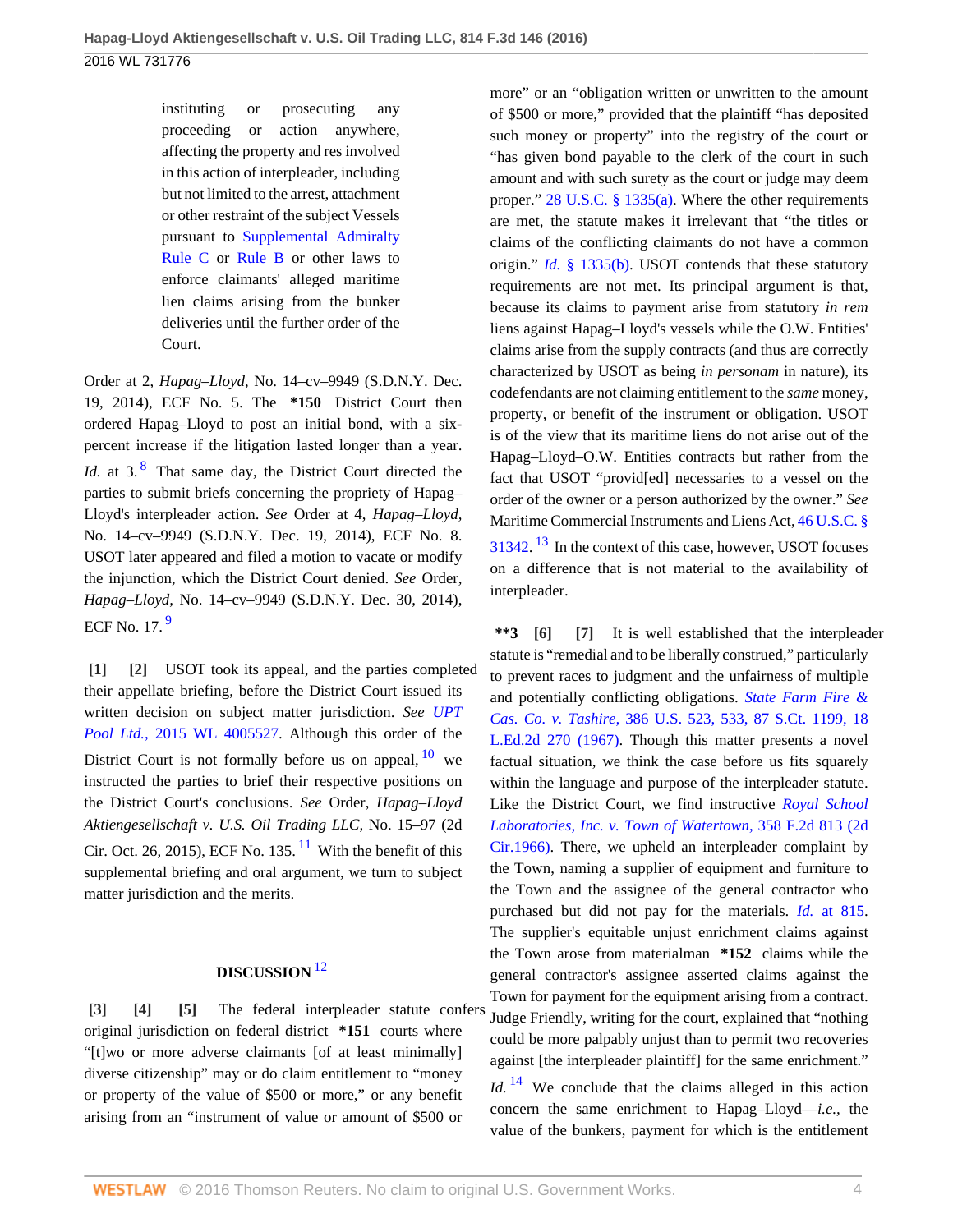instituting or prosecuting any proceeding or action anywhere, affecting the property and res involved in this action of interpleader, including but not limited to the arrest, attachment or other restraint of the subject Vessels pursuant to [Supplemental Admiralty](http://www.westlaw.com/Link/Document/FullText?findType=L&pubNum=1000606&cite=USFRCPSPAMCRC&originatingDoc=I57133910db7211e5b86bd602cb8781fa&refType=LQ&originationContext=document&vr=3.0&rs=cblt1.0&transitionType=DocumentItem&contextData=(sc.UserEnteredCitation)) [Rule C](http://www.westlaw.com/Link/Document/FullText?findType=L&pubNum=1000606&cite=USFRCPSPAMCRC&originatingDoc=I57133910db7211e5b86bd602cb8781fa&refType=LQ&originationContext=document&vr=3.0&rs=cblt1.0&transitionType=DocumentItem&contextData=(sc.UserEnteredCitation)) or [Rule B](http://www.westlaw.com/Link/Document/FullText?findType=L&pubNum=1000606&cite=USFRCPSPAMCRB&originatingDoc=I57133910db7211e5b86bd602cb8781fa&refType=LQ&originationContext=document&vr=3.0&rs=cblt1.0&transitionType=DocumentItem&contextData=(sc.UserEnteredCitation)) or other laws to enforce claimants' alleged maritime lien claims arising from the bunker deliveries until the further order of the Court.

<span id="page-3-7"></span>Order at 2, *Hapag–Lloyd,* No. 14–cv–9949 (S.D.N.Y. Dec. 19, 2014), ECF No. 5. The **\*150** District Court then ordered Hapag–Lloyd to post an initial bond, with a sixpercent increase if the litigation lasted longer than a year. *Id.* at 3.<sup>[8](#page-6-8)</sup> That same day, the District Court directed the parties to submit briefs concerning the propriety of Hapag– Lloyd's interpleader action. *See* Order at 4, *Hapag–Lloyd,* No. 14–cv–9949 (S.D.N.Y. Dec. 19, 2014), ECF No. 8. USOT later appeared and filed a motion to vacate or modify the injunction, which the District Court denied. *See* Order, *Hapag–Lloyd,* No. 14–cv–9949 (S.D.N.Y. Dec. 30, 2014), ECF No. 17.<sup>[9](#page-6-9)</sup>

<span id="page-3-8"></span><span id="page-3-1"></span><span id="page-3-0"></span>**[\[1\]](#page-0-0) [\[2\]](#page-0-1)** USOT took its appeal, and the parties completed their appellate briefing, before the District Court issued its written decision on subject matter jurisdiction. *See [UPT](http://www.westlaw.com/Link/Document/FullText?findType=Y&serNum=2036591303&pubNum=0000999&originatingDoc=I57133910db7211e5b86bd602cb8781fa&refType=RP&originationContext=document&vr=3.0&rs=cblt1.0&transitionType=DocumentItem&contextData=(sc.UserEnteredCitation)) Pool Ltd.,* [2015 WL 4005527](http://www.westlaw.com/Link/Document/FullText?findType=Y&serNum=2036591303&pubNum=0000999&originatingDoc=I57133910db7211e5b86bd602cb8781fa&refType=RP&originationContext=document&vr=3.0&rs=cblt1.0&transitionType=DocumentItem&contextData=(sc.UserEnteredCitation)). Although this order of the District Court is not formally before us on appeal,  $\frac{10}{10}$  $\frac{10}{10}$  $\frac{10}{10}$  we instructed the parties to brief their respective positions on the District Court's conclusions. *See* Order, *Hapag–Lloyd Aktiengesellschaft v. U.S. Oil Trading LLC,* No. 15–97 (2d Cir. Oct. 26, 2015), ECF No. 135,  $^{11}$  $^{11}$  $^{11}$  With the benefit of this supplemental briefing and oral argument, we turn to subject matter jurisdiction and the merits.

# <span id="page-3-11"></span><span id="page-3-10"></span><span id="page-3-4"></span><span id="page-3-3"></span>**DISCUSSION** [12](#page-7-0)

<span id="page-3-2"></span>**[\[3\]](#page-0-2) [\[4\]](#page-0-3) [\[5](#page-1-3)]** The federal interpleader statute confers original jurisdiction on federal district **\*151** courts where "[t]wo or more adverse claimants [of at least minimally] diverse citizenship" may or do claim entitlement to "money or property of the value of \$500 or more," or any benefit arising from an "instrument of value or amount of \$500 or

more" or an "obligation written or unwritten to the amount of \$500 or more," provided that the plaintiff "has deposited such money or property" into the registry of the court or "has given bond payable to the clerk of the court in such amount and with such surety as the court or judge may deem proper." [28 U.S.C. § 1335\(a\)](http://www.westlaw.com/Link/Document/FullText?findType=L&pubNum=1000546&cite=28USCAS1335&originatingDoc=I57133910db7211e5b86bd602cb8781fa&refType=RB&originationContext=document&vr=3.0&rs=cblt1.0&transitionType=DocumentItem&contextData=(sc.UserEnteredCitation)#co_pp_8b3b0000958a4). Where the other requirements are met, the statute makes it irrelevant that "the titles or claims of the conflicting claimants do not have a common origin." *Id.* [§ 1335\(b\).](http://www.westlaw.com/Link/Document/FullText?findType=L&pubNum=1000546&cite=28USCAS1335&originatingDoc=I57133910db7211e5b86bd602cb8781fa&refType=RB&originationContext=document&vr=3.0&rs=cblt1.0&transitionType=DocumentItem&contextData=(sc.UserEnteredCitation)#co_pp_a83b000018c76) USOT contends that these statutory requirements are not met. Its principal argument is that, because its claims to payment arise from statutory *in rem* liens against Hapag–Lloyd's vessels while the O.W. Entities' claims arise from the supply contracts (and thus are correctly characterized by USOT as being *in personam* in nature), its codefendants are not claiming entitlement to the *same* money, property, or benefit of the instrument or obligation. USOT is of the view that its maritime liens do not arise out of the Hapag–Lloyd–O.W. Entities contracts but rather from the fact that USOT "provid[ed] necessaries to a vessel on the order of the owner or a person authorized by the owner." *See* Maritime Commercial Instruments and Liens Act, [46 U.S.C. §](http://www.westlaw.com/Link/Document/FullText?findType=L&pubNum=1000546&cite=46USCAS31342&originatingDoc=I57133910db7211e5b86bd602cb8781fa&refType=LQ&originationContext=document&vr=3.0&rs=cblt1.0&transitionType=DocumentItem&contextData=(sc.UserEnteredCitation)) [31342](http://www.westlaw.com/Link/Document/FullText?findType=L&pubNum=1000546&cite=46USCAS31342&originatingDoc=I57133910db7211e5b86bd602cb8781fa&refType=LQ&originationContext=document&vr=3.0&rs=cblt1.0&transitionType=DocumentItem&contextData=(sc.UserEnteredCitation)).<sup>[13](#page-7-1)</sup> In the context of this case, however, USOT focuses on a difference that is not material to the availability of

<span id="page-3-12"></span>interpleader.

<span id="page-3-9"></span><span id="page-3-6"></span><span id="page-3-5"></span>**\*\*3 [\[6\]](#page-1-4) [\[7\]](#page-1-0)** It is well established that the interpleader statute is "remedial and to be liberally construed," particularly to prevent races to judgment and the unfairness of multiple and potentially conflicting obligations. *[State Farm Fire &](http://www.westlaw.com/Link/Document/FullText?findType=Y&serNum=1967105738&pubNum=0000708&originatingDoc=I57133910db7211e5b86bd602cb8781fa&refType=RP&originationContext=document&vr=3.0&rs=cblt1.0&transitionType=DocumentItem&contextData=(sc.UserEnteredCitation)) Cas. Co. v. Tashire,* [386 U.S. 523, 533, 87 S.Ct. 1199, 18](http://www.westlaw.com/Link/Document/FullText?findType=Y&serNum=1967105738&pubNum=0000708&originatingDoc=I57133910db7211e5b86bd602cb8781fa&refType=RP&originationContext=document&vr=3.0&rs=cblt1.0&transitionType=DocumentItem&contextData=(sc.UserEnteredCitation)) [L.Ed.2d 270 \(1967\).](http://www.westlaw.com/Link/Document/FullText?findType=Y&serNum=1967105738&pubNum=0000708&originatingDoc=I57133910db7211e5b86bd602cb8781fa&refType=RP&originationContext=document&vr=3.0&rs=cblt1.0&transitionType=DocumentItem&contextData=(sc.UserEnteredCitation)) Though this matter presents a novel factual situation, we think the case before us fits squarely within the language and purpose of the interpleader statute. Like the District Court, we find instructive *[Royal School](http://www.westlaw.com/Link/Document/FullText?findType=Y&serNum=1966120653&pubNum=0000350&originatingDoc=I57133910db7211e5b86bd602cb8781fa&refType=RP&originationContext=document&vr=3.0&rs=cblt1.0&transitionType=DocumentItem&contextData=(sc.UserEnteredCitation)) [Laboratories, Inc. v. Town of Watertown,](http://www.westlaw.com/Link/Document/FullText?findType=Y&serNum=1966120653&pubNum=0000350&originatingDoc=I57133910db7211e5b86bd602cb8781fa&refType=RP&originationContext=document&vr=3.0&rs=cblt1.0&transitionType=DocumentItem&contextData=(sc.UserEnteredCitation))* 358 F.2d 813 (2d [Cir.1966\).](http://www.westlaw.com/Link/Document/FullText?findType=Y&serNum=1966120653&pubNum=0000350&originatingDoc=I57133910db7211e5b86bd602cb8781fa&refType=RP&originationContext=document&vr=3.0&rs=cblt1.0&transitionType=DocumentItem&contextData=(sc.UserEnteredCitation)) There, we upheld an interpleader complaint by the Town, naming a supplier of equipment and furniture to the Town and the assignee of the general contractor who purchased but did not pay for the materials. *Id.* [at 815.](http://www.westlaw.com/Link/Document/FullText?findType=Y&serNum=1966120653&pubNum=0000350&originatingDoc=I57133910db7211e5b86bd602cb8781fa&refType=RP&fi=co_pp_sp_350_815&originationContext=document&vr=3.0&rs=cblt1.0&transitionType=DocumentItem&contextData=(sc.UserEnteredCitation)#co_pp_sp_350_815) The supplier's equitable unjust enrichment claims against the Town arose from materialman **\*152** claims while the general contractor's assignee asserted claims against the Town for payment for the equipment arising from a contract. Judge Friendly, writing for the court, explained that "nothing could be more palpably unjust than to permit two recoveries against [the interpleader plaintiff] for the same enrichment."

<span id="page-3-13"></span>*Id.* <sup>[14](#page-7-2)</sup> We conclude that the claims alleged in this action concern the same enrichment to Hapag–Lloyd—*i.e.,* the value of the bunkers, payment for which is the entitlement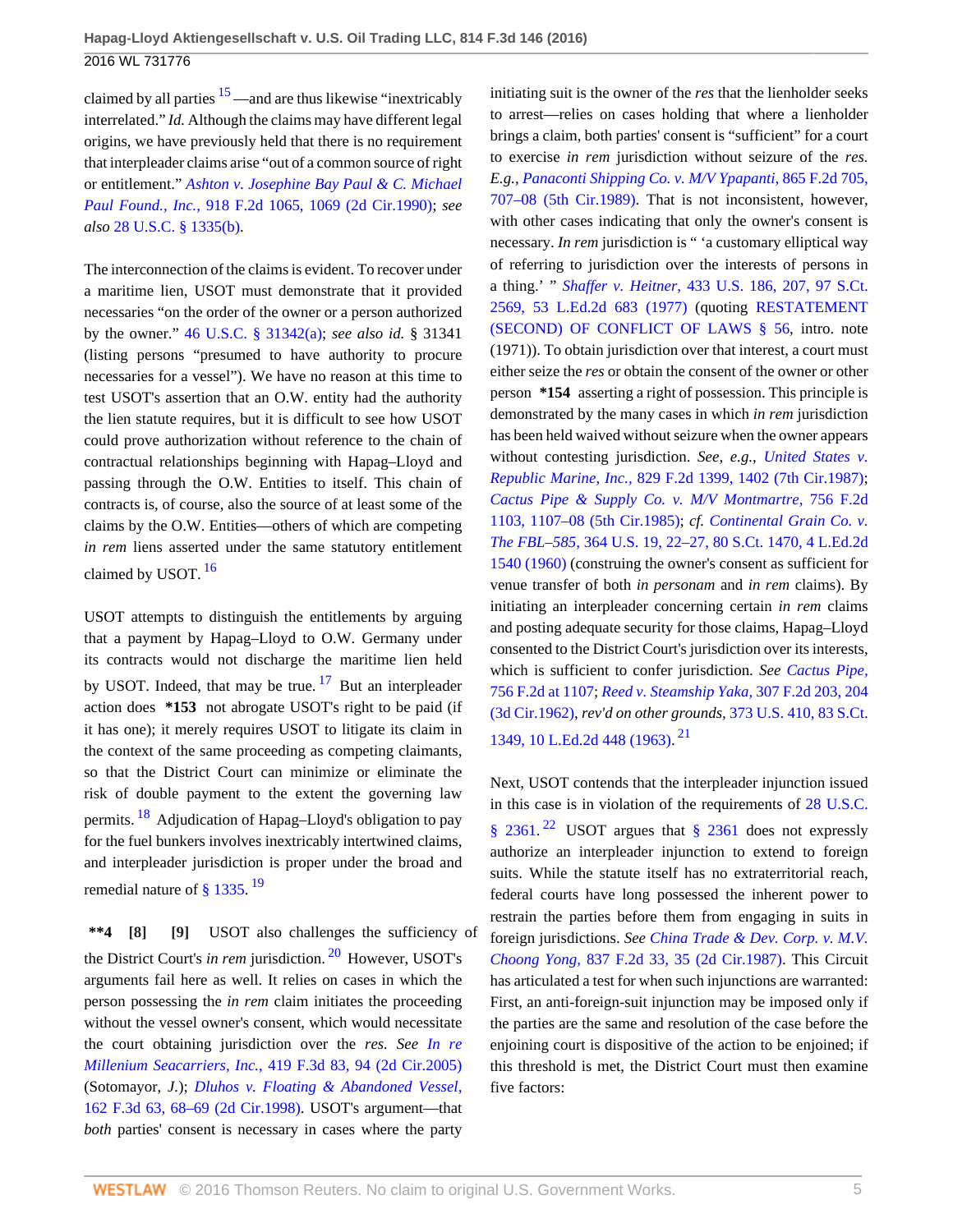<span id="page-4-2"></span>claimed by all parties  $15$ —and are thus likewise "inextricably" interrelated." *Id.* Although the claims may have different legal origins, we have previously held that there is no requirement that interpleader claims arise "out of a common source of right or entitlement." *[Ashton v. Josephine Bay Paul & C. Michael](http://www.westlaw.com/Link/Document/FullText?findType=Y&serNum=1990164464&pubNum=0000350&originatingDoc=I57133910db7211e5b86bd602cb8781fa&refType=RP&fi=co_pp_sp_350_1069&originationContext=document&vr=3.0&rs=cblt1.0&transitionType=DocumentItem&contextData=(sc.UserEnteredCitation)#co_pp_sp_350_1069) Paul Found., Inc.,* [918 F.2d 1065, 1069 \(2d Cir.1990\);](http://www.westlaw.com/Link/Document/FullText?findType=Y&serNum=1990164464&pubNum=0000350&originatingDoc=I57133910db7211e5b86bd602cb8781fa&refType=RP&fi=co_pp_sp_350_1069&originationContext=document&vr=3.0&rs=cblt1.0&transitionType=DocumentItem&contextData=(sc.UserEnteredCitation)#co_pp_sp_350_1069) *see also* [28 U.S.C. § 1335\(b\)](http://www.westlaw.com/Link/Document/FullText?findType=L&pubNum=1000546&cite=28USCAS1335&originatingDoc=I57133910db7211e5b86bd602cb8781fa&refType=RB&originationContext=document&vr=3.0&rs=cblt1.0&transitionType=DocumentItem&contextData=(sc.UserEnteredCitation)#co_pp_a83b000018c76).

The interconnection of the claims is evident. To recover under a maritime lien, USOT must demonstrate that it provided necessaries "on the order of the owner or a person authorized by the owner." [46 U.S.C. § 31342\(a\)](http://www.westlaw.com/Link/Document/FullText?findType=L&pubNum=1000546&cite=46USCAS31342&originatingDoc=I57133910db7211e5b86bd602cb8781fa&refType=RB&originationContext=document&vr=3.0&rs=cblt1.0&transitionType=DocumentItem&contextData=(sc.UserEnteredCitation)#co_pp_8b3b0000958a4); *see also id.* § 31341 (listing persons "presumed to have authority to procure necessaries for a vessel"). We have no reason at this time to test USOT's assertion that an O.W. entity had the authority the lien statute requires, but it is difficult to see how USOT could prove authorization without reference to the chain of contractual relationships beginning with Hapag–Lloyd and passing through the O.W. Entities to itself. This chain of contracts is, of course, also the source of at least some of the claims by the O.W. Entities—others of which are competing *in rem* liens asserted under the same statutory entitlement claimed by USOT.  $16$ 

<span id="page-4-3"></span>USOT attempts to distinguish the entitlements by arguing that a payment by Hapag–Lloyd to O.W. Germany under its contracts would not discharge the maritime lien held by USOT. Indeed, that may be true.  $17$  But an interpleader action does **\*153** not abrogate USOT's right to be paid (if it has one); it merely requires USOT to litigate its claim in the context of the same proceeding as competing claimants, so that the District Court can minimize or eliminate the risk of double payment to the extent the governing law permits. [18](#page-7-6) Adjudication of Hapag–Lloyd's obligation to pay for the fuel bunkers involves inextricably intertwined claims, and interpleader jurisdiction is proper under the broad and remedial nature of  $\S$  1335.<sup>[19](#page-7-7)</sup>

<span id="page-4-6"></span><span id="page-4-5"></span><span id="page-4-1"></span><span id="page-4-0"></span>**\*\*4 [\[8\]](#page-1-5) [\[9\]](#page-1-1)** USOT also challenges the sufficiency of the District Court's *in rem* jurisdiction. [20](#page-7-8) However, USOT's arguments fail here as well. It relies on cases in which the person possessing the *in rem* claim initiates the proceeding without the vessel owner's consent, which would necessitate the court obtaining jurisdiction over the *res. See [In re](http://www.westlaw.com/Link/Document/FullText?findType=Y&serNum=2007113892&pubNum=0000506&originatingDoc=I57133910db7211e5b86bd602cb8781fa&refType=RP&fi=co_pp_sp_506_94&originationContext=document&vr=3.0&rs=cblt1.0&transitionType=DocumentItem&contextData=(sc.UserEnteredCitation)#co_pp_sp_506_94) Millenium Seacarriers, Inc.,* [419 F.3d 83, 94 \(2d Cir.2005\)](http://www.westlaw.com/Link/Document/FullText?findType=Y&serNum=2007113892&pubNum=0000506&originatingDoc=I57133910db7211e5b86bd602cb8781fa&refType=RP&fi=co_pp_sp_506_94&originationContext=document&vr=3.0&rs=cblt1.0&transitionType=DocumentItem&contextData=(sc.UserEnteredCitation)#co_pp_sp_506_94) (Sotomayor, *J.*); *[Dluhos v. Floating & Abandoned Vessel,](http://www.westlaw.com/Link/Document/FullText?findType=Y&serNum=1998236474&pubNum=0000506&originatingDoc=I57133910db7211e5b86bd602cb8781fa&refType=RP&fi=co_pp_sp_506_68&originationContext=document&vr=3.0&rs=cblt1.0&transitionType=DocumentItem&contextData=(sc.UserEnteredCitation)#co_pp_sp_506_68)* [162 F.3d 63, 68–69 \(2d Cir.1998\)](http://www.westlaw.com/Link/Document/FullText?findType=Y&serNum=1998236474&pubNum=0000506&originatingDoc=I57133910db7211e5b86bd602cb8781fa&refType=RP&fi=co_pp_sp_506_68&originationContext=document&vr=3.0&rs=cblt1.0&transitionType=DocumentItem&contextData=(sc.UserEnteredCitation)#co_pp_sp_506_68). USOT's argument—that *both* parties' consent is necessary in cases where the party

initiating suit is the owner of the *res* that the lienholder seeks to arrest—relies on cases holding that where a lienholder brings a claim, both parties' consent is "sufficient" for a court to exercise *in rem* jurisdiction without seizure of the *res. E.g., [Panaconti Shipping Co. v. M/V Ypapanti,](http://www.westlaw.com/Link/Document/FullText?findType=Y&serNum=1989019023&pubNum=0000350&originatingDoc=I57133910db7211e5b86bd602cb8781fa&refType=RP&fi=co_pp_sp_350_707&originationContext=document&vr=3.0&rs=cblt1.0&transitionType=DocumentItem&contextData=(sc.UserEnteredCitation)#co_pp_sp_350_707)* 865 F.2d 705, [707–08 \(5th Cir.1989\).](http://www.westlaw.com/Link/Document/FullText?findType=Y&serNum=1989019023&pubNum=0000350&originatingDoc=I57133910db7211e5b86bd602cb8781fa&refType=RP&fi=co_pp_sp_350_707&originationContext=document&vr=3.0&rs=cblt1.0&transitionType=DocumentItem&contextData=(sc.UserEnteredCitation)#co_pp_sp_350_707) That is not inconsistent, however, with other cases indicating that only the owner's consent is necessary. *In rem* jurisdiction is " 'a customary elliptical way of referring to jurisdiction over the interests of persons in a thing.' " *Shaffer v. Heitner,* [433 U.S. 186, 207, 97 S.Ct.](http://www.westlaw.com/Link/Document/FullText?findType=Y&serNum=1977118837&pubNum=0000708&originatingDoc=I57133910db7211e5b86bd602cb8781fa&refType=RP&originationContext=document&vr=3.0&rs=cblt1.0&transitionType=DocumentItem&contextData=(sc.UserEnteredCitation)) [2569, 53 L.Ed.2d 683 \(1977\)](http://www.westlaw.com/Link/Document/FullText?findType=Y&serNum=1977118837&pubNum=0000708&originatingDoc=I57133910db7211e5b86bd602cb8781fa&refType=RP&originationContext=document&vr=3.0&rs=cblt1.0&transitionType=DocumentItem&contextData=(sc.UserEnteredCitation)) (quoting [RESTATEMENT](http://www.westlaw.com/Link/Document/FullText?findType=Y&serNum=0289353439&pubNum=0101576&originatingDoc=I57133910db7211e5b86bd602cb8781fa&refType=TS&originationContext=document&vr=3.0&rs=cblt1.0&transitionType=DocumentItem&contextData=(sc.UserEnteredCitation)) [\(SECOND\) OF CONFLICT OF LAWS § 56,](http://www.westlaw.com/Link/Document/FullText?findType=Y&serNum=0289353439&pubNum=0101576&originatingDoc=I57133910db7211e5b86bd602cb8781fa&refType=TS&originationContext=document&vr=3.0&rs=cblt1.0&transitionType=DocumentItem&contextData=(sc.UserEnteredCitation)) intro. note (1971)). To obtain jurisdiction over that interest, a court must either seize the *res* or obtain the consent of the owner or other person **\*154** asserting a right of possession. This principle is demonstrated by the many cases in which *in rem* jurisdiction has been held waived without seizure when the owner appears without contesting jurisdiction. *See, e.g., [United States v.](http://www.westlaw.com/Link/Document/FullText?findType=Y&serNum=1987113167&pubNum=0000350&originatingDoc=I57133910db7211e5b86bd602cb8781fa&refType=RP&fi=co_pp_sp_350_1402&originationContext=document&vr=3.0&rs=cblt1.0&transitionType=DocumentItem&contextData=(sc.UserEnteredCitation)#co_pp_sp_350_1402) Republic Marine, Inc.,* [829 F.2d 1399, 1402 \(7th Cir.1987\)](http://www.westlaw.com/Link/Document/FullText?findType=Y&serNum=1987113167&pubNum=0000350&originatingDoc=I57133910db7211e5b86bd602cb8781fa&refType=RP&fi=co_pp_sp_350_1402&originationContext=document&vr=3.0&rs=cblt1.0&transitionType=DocumentItem&contextData=(sc.UserEnteredCitation)#co_pp_sp_350_1402); *[Cactus Pipe & Supply Co. v. M/V Montmartre,](http://www.westlaw.com/Link/Document/FullText?findType=Y&serNum=1985114293&pubNum=0000350&originatingDoc=I57133910db7211e5b86bd602cb8781fa&refType=RP&fi=co_pp_sp_350_1107&originationContext=document&vr=3.0&rs=cblt1.0&transitionType=DocumentItem&contextData=(sc.UserEnteredCitation)#co_pp_sp_350_1107)* 756 F.2d [1103, 1107–08 \(5th Cir.1985\);](http://www.westlaw.com/Link/Document/FullText?findType=Y&serNum=1985114293&pubNum=0000350&originatingDoc=I57133910db7211e5b86bd602cb8781fa&refType=RP&fi=co_pp_sp_350_1107&originationContext=document&vr=3.0&rs=cblt1.0&transitionType=DocumentItem&contextData=(sc.UserEnteredCitation)#co_pp_sp_350_1107) *cf. [Continental Grain Co. v.](http://www.westlaw.com/Link/Document/FullText?findType=Y&serNum=1960100879&pubNum=0000708&originatingDoc=I57133910db7211e5b86bd602cb8781fa&refType=RP&originationContext=document&vr=3.0&rs=cblt1.0&transitionType=DocumentItem&contextData=(sc.UserEnteredCitation)) The FBL–585,* [364 U.S. 19, 22–27, 80 S.Ct. 1470, 4 L.Ed.2d](http://www.westlaw.com/Link/Document/FullText?findType=Y&serNum=1960100879&pubNum=0000708&originatingDoc=I57133910db7211e5b86bd602cb8781fa&refType=RP&originationContext=document&vr=3.0&rs=cblt1.0&transitionType=DocumentItem&contextData=(sc.UserEnteredCitation)) [1540 \(1960\)](http://www.westlaw.com/Link/Document/FullText?findType=Y&serNum=1960100879&pubNum=0000708&originatingDoc=I57133910db7211e5b86bd602cb8781fa&refType=RP&originationContext=document&vr=3.0&rs=cblt1.0&transitionType=DocumentItem&contextData=(sc.UserEnteredCitation)) (construing the owner's consent as sufficient for venue transfer of both *in personam* and *in rem* claims). By initiating an interpleader concerning certain *in rem* claims and posting adequate security for those claims, Hapag–Lloyd consented to the District Court's jurisdiction over its interests, which is sufficient to confer jurisdiction. *See [Cactus Pipe,](http://www.westlaw.com/Link/Document/FullText?findType=Y&serNum=1985114293&pubNum=0000350&originatingDoc=I57133910db7211e5b86bd602cb8781fa&refType=RP&fi=co_pp_sp_350_1107&originationContext=document&vr=3.0&rs=cblt1.0&transitionType=DocumentItem&contextData=(sc.UserEnteredCitation)#co_pp_sp_350_1107)* [756 F.2d at 1107;](http://www.westlaw.com/Link/Document/FullText?findType=Y&serNum=1985114293&pubNum=0000350&originatingDoc=I57133910db7211e5b86bd602cb8781fa&refType=RP&fi=co_pp_sp_350_1107&originationContext=document&vr=3.0&rs=cblt1.0&transitionType=DocumentItem&contextData=(sc.UserEnteredCitation)#co_pp_sp_350_1107) *[Reed v. Steamship Yaka,](http://www.westlaw.com/Link/Document/FullText?findType=Y&serNum=1962115551&pubNum=0000350&originatingDoc=I57133910db7211e5b86bd602cb8781fa&refType=RP&fi=co_pp_sp_350_204&originationContext=document&vr=3.0&rs=cblt1.0&transitionType=DocumentItem&contextData=(sc.UserEnteredCitation)#co_pp_sp_350_204)* 307 F.2d 203, 204 [\(3d Cir.1962\)](http://www.westlaw.com/Link/Document/FullText?findType=Y&serNum=1962115551&pubNum=0000350&originatingDoc=I57133910db7211e5b86bd602cb8781fa&refType=RP&fi=co_pp_sp_350_204&originationContext=document&vr=3.0&rs=cblt1.0&transitionType=DocumentItem&contextData=(sc.UserEnteredCitation)#co_pp_sp_350_204), *rev'd on other grounds,* [373 U.S. 410, 83 S.Ct.](http://www.westlaw.com/Link/Document/FullText?findType=Y&serNum=1963125364&pubNum=0000708&originatingDoc=I57133910db7211e5b86bd602cb8781fa&refType=RP&originationContext=document&vr=3.0&rs=cblt1.0&transitionType=DocumentItem&contextData=(sc.UserEnteredCitation)) [1349, 10 L.Ed.2d 448 \(1963\)](http://www.westlaw.com/Link/Document/FullText?findType=Y&serNum=1963125364&pubNum=0000708&originatingDoc=I57133910db7211e5b86bd602cb8781fa&refType=RP&originationContext=document&vr=3.0&rs=cblt1.0&transitionType=DocumentItem&contextData=(sc.UserEnteredCitation)). [21](#page-8-0)

<span id="page-4-9"></span><span id="page-4-8"></span><span id="page-4-7"></span><span id="page-4-4"></span>Next, USOT contends that the interpleader injunction issued in this case is in violation of the requirements of [28 U.S.C.](http://www.westlaw.com/Link/Document/FullText?findType=L&pubNum=1000546&cite=28USCAS2361&originatingDoc=I57133910db7211e5b86bd602cb8781fa&refType=LQ&originationContext=document&vr=3.0&rs=cblt1.0&transitionType=DocumentItem&contextData=(sc.UserEnteredCitation)) [§ 2361.](http://www.westlaw.com/Link/Document/FullText?findType=L&pubNum=1000546&cite=28USCAS2361&originatingDoc=I57133910db7211e5b86bd602cb8781fa&refType=LQ&originationContext=document&vr=3.0&rs=cblt1.0&transitionType=DocumentItem&contextData=(sc.UserEnteredCitation))<sup>[22](#page-8-1)</sup> USOT argues that [§ 2361](http://www.westlaw.com/Link/Document/FullText?findType=L&pubNum=1000546&cite=28USCAS2361&originatingDoc=I57133910db7211e5b86bd602cb8781fa&refType=LQ&originationContext=document&vr=3.0&rs=cblt1.0&transitionType=DocumentItem&contextData=(sc.UserEnteredCitation)) does not expressly authorize an interpleader injunction to extend to foreign suits. While the statute itself has no extraterritorial reach, federal courts have long possessed the inherent power to restrain the parties before them from engaging in suits in foreign jurisdictions. *See [China Trade & Dev. Corp. v. M.V.](http://www.westlaw.com/Link/Document/FullText?findType=Y&serNum=1988005041&pubNum=0000350&originatingDoc=I57133910db7211e5b86bd602cb8781fa&refType=RP&fi=co_pp_sp_350_35&originationContext=document&vr=3.0&rs=cblt1.0&transitionType=DocumentItem&contextData=(sc.UserEnteredCitation)#co_pp_sp_350_35) Choong Yong,* [837 F.2d 33, 35 \(2d Cir.1987\).](http://www.westlaw.com/Link/Document/FullText?findType=Y&serNum=1988005041&pubNum=0000350&originatingDoc=I57133910db7211e5b86bd602cb8781fa&refType=RP&fi=co_pp_sp_350_35&originationContext=document&vr=3.0&rs=cblt1.0&transitionType=DocumentItem&contextData=(sc.UserEnteredCitation)#co_pp_sp_350_35) This Circuit has articulated a test for when such injunctions are warranted: First, an anti-foreign-suit injunction may be imposed only if the parties are the same and resolution of the case before the enjoining court is dispositive of the action to be enjoined; if this threshold is met, the District Court must then examine five factors: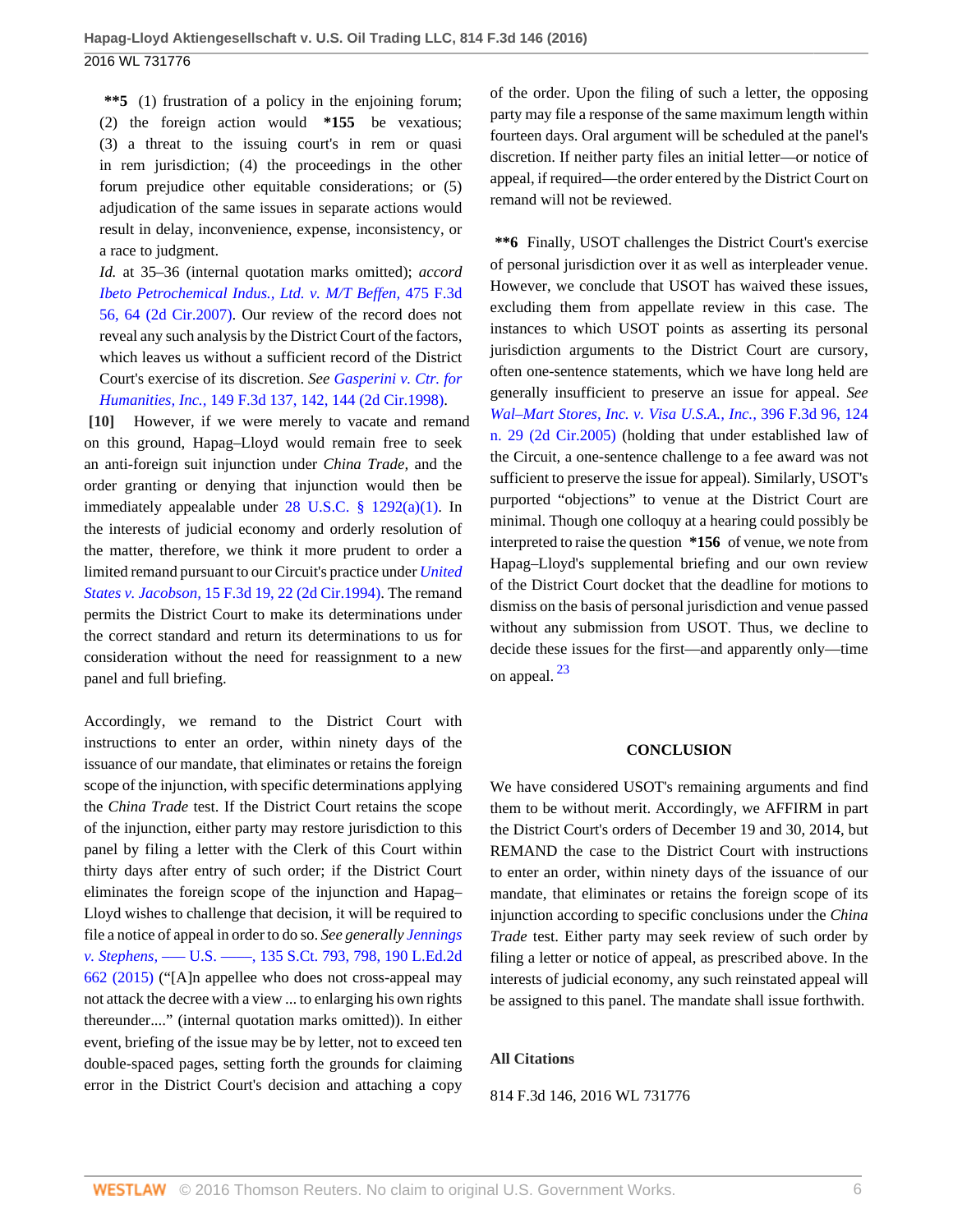**\*\*5** (1) frustration of a policy in the enjoining forum; (2) the foreign action would **\*155** be vexatious; (3) a threat to the issuing court's in rem or quasi in rem jurisdiction; (4) the proceedings in the other forum prejudice other equitable considerations; or (5) adjudication of the same issues in separate actions would result in delay, inconvenience, expense, inconsistency, or a race to judgment.

*Id.* at 35–36 (internal quotation marks omitted); *accord [Ibeto Petrochemical Indus., Ltd. v. M/T Beffen,](http://www.westlaw.com/Link/Document/FullText?findType=Y&serNum=2011203908&pubNum=0000506&originatingDoc=I57133910db7211e5b86bd602cb8781fa&refType=RP&fi=co_pp_sp_506_64&originationContext=document&vr=3.0&rs=cblt1.0&transitionType=DocumentItem&contextData=(sc.UserEnteredCitation)#co_pp_sp_506_64)* 475 F.3d [56, 64 \(2d Cir.2007\)](http://www.westlaw.com/Link/Document/FullText?findType=Y&serNum=2011203908&pubNum=0000506&originatingDoc=I57133910db7211e5b86bd602cb8781fa&refType=RP&fi=co_pp_sp_506_64&originationContext=document&vr=3.0&rs=cblt1.0&transitionType=DocumentItem&contextData=(sc.UserEnteredCitation)#co_pp_sp_506_64). Our review of the record does not reveal any such analysis by the District Court of the factors, which leaves us without a sufficient record of the District Court's exercise of its discretion. *See [Gasperini v. Ctr. for](http://www.westlaw.com/Link/Document/FullText?findType=Y&serNum=1998140635&pubNum=0000506&originatingDoc=I57133910db7211e5b86bd602cb8781fa&refType=RP&fi=co_pp_sp_506_142&originationContext=document&vr=3.0&rs=cblt1.0&transitionType=DocumentItem&contextData=(sc.UserEnteredCitation)#co_pp_sp_506_142) Humanities, Inc.,* [149 F.3d 137, 142, 144 \(2d Cir.1998\)](http://www.westlaw.com/Link/Document/FullText?findType=Y&serNum=1998140635&pubNum=0000506&originatingDoc=I57133910db7211e5b86bd602cb8781fa&refType=RP&fi=co_pp_sp_506_142&originationContext=document&vr=3.0&rs=cblt1.0&transitionType=DocumentItem&contextData=(sc.UserEnteredCitation)#co_pp_sp_506_142).

<span id="page-5-0"></span>**[\[10\]](#page-1-2)** However, if we were merely to vacate and remand on this ground, Hapag–Lloyd would remain free to seek an anti-foreign suit injunction under *China Trade,* and the order granting or denying that injunction would then be immediately appealable under [28 U.S.C. § 1292\(a\)\(1\).](http://www.westlaw.com/Link/Document/FullText?findType=L&pubNum=1000546&cite=28USCAS1292&originatingDoc=I57133910db7211e5b86bd602cb8781fa&refType=RB&originationContext=document&vr=3.0&rs=cblt1.0&transitionType=DocumentItem&contextData=(sc.UserEnteredCitation)#co_pp_7b9b000044381) In the interests of judicial economy and orderly resolution of the matter, therefore, we think it more prudent to order a limited remand pursuant to our Circuit's practice under *[United](http://www.westlaw.com/Link/Document/FullText?findType=Y&serNum=1994030957&pubNum=0000506&originatingDoc=I57133910db7211e5b86bd602cb8781fa&refType=RP&fi=co_pp_sp_506_22&originationContext=document&vr=3.0&rs=cblt1.0&transitionType=DocumentItem&contextData=(sc.UserEnteredCitation)#co_pp_sp_506_22) States v. Jacobson,* [15 F.3d 19, 22 \(2d Cir.1994\).](http://www.westlaw.com/Link/Document/FullText?findType=Y&serNum=1994030957&pubNum=0000506&originatingDoc=I57133910db7211e5b86bd602cb8781fa&refType=RP&fi=co_pp_sp_506_22&originationContext=document&vr=3.0&rs=cblt1.0&transitionType=DocumentItem&contextData=(sc.UserEnteredCitation)#co_pp_sp_506_22) The remand permits the District Court to make its determinations under the correct standard and return its determinations to us for consideration without the need for reassignment to a new panel and full briefing.

Accordingly, we remand to the District Court with instructions to enter an order, within ninety days of the issuance of our mandate, that eliminates or retains the foreign scope of the injunction, with specific determinations applying the *China Trade* test. If the District Court retains the scope of the injunction, either party may restore jurisdiction to this panel by filing a letter with the Clerk of this Court within thirty days after entry of such order; if the District Court eliminates the foreign scope of the injunction and Hapag– Lloyd wishes to challenge that decision, it will be required to file a notice of appeal in order to do so. *See generally [Jennings](http://www.westlaw.com/Link/Document/FullText?findType=Y&pubNum=0000708&cite=135SCT793&originatingDoc=I57133910db7211e5b86bd602cb8781fa&refType=RP&fi=co_pp_sp_708_798&originationContext=document&vr=3.0&rs=cblt1.0&transitionType=DocumentItem&contextData=(sc.UserEnteredCitation)#co_pp_sp_708_798) v. Stephens, -- U.S. -- , 135 S.Ct. 793, 798, 190 L.Ed.2d* [662 \(2015\)](http://www.westlaw.com/Link/Document/FullText?findType=Y&pubNum=0000708&cite=135SCT793&originatingDoc=I57133910db7211e5b86bd602cb8781fa&refType=RP&fi=co_pp_sp_708_798&originationContext=document&vr=3.0&rs=cblt1.0&transitionType=DocumentItem&contextData=(sc.UserEnteredCitation)#co_pp_sp_708_798) ("[A]n appellee who does not cross-appeal may not attack the decree with a view ... to enlarging his own rights thereunder...." (internal quotation marks omitted)). In either event, briefing of the issue may be by letter, not to exceed ten double-spaced pages, setting forth the grounds for claiming error in the District Court's decision and attaching a copy

of the order. Upon the filing of such a letter, the opposing party may file a response of the same maximum length within fourteen days. Oral argument will be scheduled at the panel's discretion. If neither party files an initial letter—or notice of appeal, if required—the order entered by the District Court on remand will not be reviewed.

**\*\*6** Finally, USOT challenges the District Court's exercise of personal jurisdiction over it as well as interpleader venue. However, we conclude that USOT has waived these issues, excluding them from appellate review in this case. The instances to which USOT points as asserting its personal jurisdiction arguments to the District Court are cursory, often one-sentence statements, which we have long held are generally insufficient to preserve an issue for appeal. *See [Wal–Mart Stores, Inc. v. Visa U.S.A., Inc.,](http://www.westlaw.com/Link/Document/FullText?findType=Y&serNum=2005886023&pubNum=0000506&originatingDoc=I57133910db7211e5b86bd602cb8781fa&refType=RP&fi=co_pp_sp_506_124&originationContext=document&vr=3.0&rs=cblt1.0&transitionType=DocumentItem&contextData=(sc.UserEnteredCitation)#co_pp_sp_506_124)* 396 F.3d 96, 124 [n. 29 \(2d Cir.2005\)](http://www.westlaw.com/Link/Document/FullText?findType=Y&serNum=2005886023&pubNum=0000506&originatingDoc=I57133910db7211e5b86bd602cb8781fa&refType=RP&fi=co_pp_sp_506_124&originationContext=document&vr=3.0&rs=cblt1.0&transitionType=DocumentItem&contextData=(sc.UserEnteredCitation)#co_pp_sp_506_124) (holding that under established law of the Circuit, a one-sentence challenge to a fee award was not sufficient to preserve the issue for appeal). Similarly, USOT's purported "objections" to venue at the District Court are minimal. Though one colloquy at a hearing could possibly be interpreted to raise the question **\*156** of venue, we note from Hapag–Lloyd's supplemental briefing and our own review of the District Court docket that the deadline for motions to dismiss on the basis of personal jurisdiction and venue passed without any submission from USOT. Thus, we decline to decide these issues for the first—and apparently only—time on appeal. <sup>[23](#page-8-2)</sup>

#### <span id="page-5-1"></span>**CONCLUSION**

We have considered USOT's remaining arguments and find them to be without merit. Accordingly, we AFFIRM in part the District Court's orders of December 19 and 30, 2014, but REMAND the case to the District Court with instructions to enter an order, within ninety days of the issuance of our mandate, that eliminates or retains the foreign scope of its injunction according to specific conclusions under the *China Trade* test. Either party may seek review of such order by filing a letter or notice of appeal, as prescribed above. In the interests of judicial economy, any such reinstated appeal will be assigned to this panel. The mandate shall issue forthwith.

#### **All Citations**

814 F.3d 146, 2016 WL 731776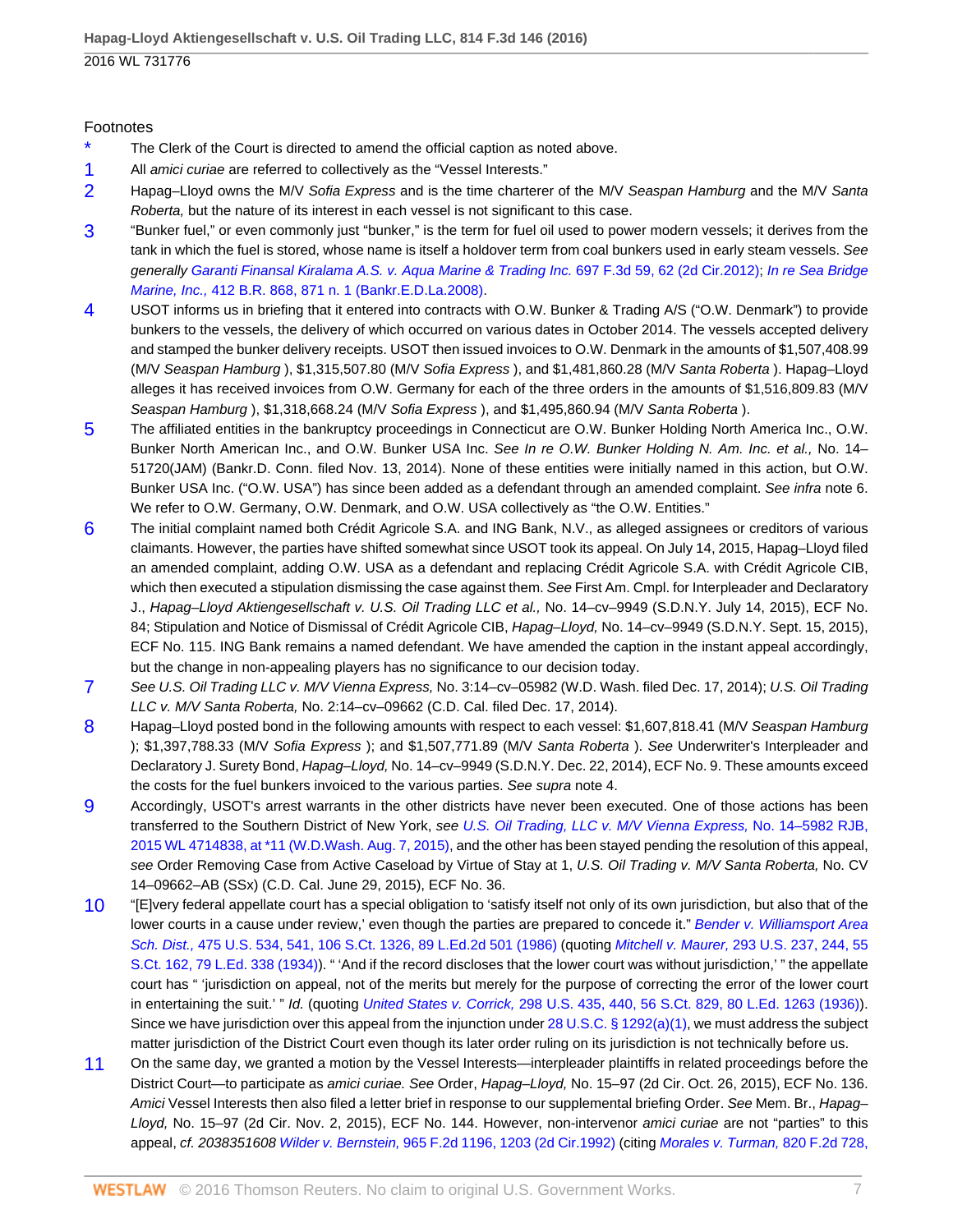#### Footnotes

- <span id="page-6-0"></span>[\\*](#page-0-4) The Clerk of the Court is directed to amend the official caption as noted above.
- <span id="page-6-1"></span>[1](#page-2-0) All amici curiae are referred to collectively as the "Vessel Interests."
- <span id="page-6-2"></span>[2](#page-2-1) Hapag–Lloyd owns the M/V Sofia Express and is the time charterer of the M/V Seaspan Hamburg and the M/V Santa Roberta, but the nature of its interest in each vessel is not significant to this case.
- <span id="page-6-3"></span><sup>[3](#page-2-2)</sup> "Bunker fuel," or even commonly just "bunker," is the term for fuel oil used to power modern vessels; it derives from the tank in which the fuel is stored, whose name is itself a holdover term from coal bunkers used in early steam vessels. See generally [Garanti Finansal Kiralama A.S. v. Aqua Marine & Trading Inc.](http://www.westlaw.com/Link/Document/FullText?findType=Y&serNum=2028753883&pubNum=0000506&originatingDoc=I57133910db7211e5b86bd602cb8781fa&refType=RP&fi=co_pp_sp_506_62&originationContext=document&vr=3.0&rs=cblt1.0&transitionType=DocumentItem&contextData=(sc.UserEnteredCitation)#co_pp_sp_506_62) 697 F.3d 59, 62 (2d Cir.2012); [In re Sea Bridge](http://www.westlaw.com/Link/Document/FullText?findType=Y&serNum=2017607096&pubNum=0000164&originatingDoc=I57133910db7211e5b86bd602cb8781fa&refType=RP&fi=co_pp_sp_164_871&originationContext=document&vr=3.0&rs=cblt1.0&transitionType=DocumentItem&contextData=(sc.UserEnteredCitation)#co_pp_sp_164_871) Marine, Inc., [412 B.R. 868, 871 n. 1 \(Bankr.E.D.La.2008\).](http://www.westlaw.com/Link/Document/FullText?findType=Y&serNum=2017607096&pubNum=0000164&originatingDoc=I57133910db7211e5b86bd602cb8781fa&refType=RP&fi=co_pp_sp_164_871&originationContext=document&vr=3.0&rs=cblt1.0&transitionType=DocumentItem&contextData=(sc.UserEnteredCitation)#co_pp_sp_164_871)
- <span id="page-6-4"></span>[4](#page-2-3) USOT informs us in briefing that it entered into contracts with O.W. Bunker & Trading A/S ("O.W. Denmark") to provide bunkers to the vessels, the delivery of which occurred on various dates in October 2014. The vessels accepted delivery and stamped the bunker delivery receipts. USOT then issued invoices to O.W. Denmark in the amounts of \$1,507,408.99 (M/V Seaspan Hamburg ), \$1,315,507.80 (M/V Sofia Express ), and \$1,481,860.28 (M/V Santa Roberta ). Hapag–Lloyd alleges it has received invoices from O.W. Germany for each of the three orders in the amounts of \$1,516,809.83 (M/V Seaspan Hamburg ), \$1,318,668.24 (M/V Sofia Express ), and \$1,495,860.94 (M/V Santa Roberta ).
- <span id="page-6-5"></span>[5](#page-2-4) The affiliated entities in the bankruptcy proceedings in Connecticut are O.W. Bunker Holding North America Inc., O.W. Bunker North American Inc., and O.W. Bunker USA Inc. See In re O.W. Bunker Holding N. Am. Inc. et al., No. 14– 51720(JAM) (Bankr.D. Conn. filed Nov. 13, 2014). None of these entities were initially named in this action, but O.W. Bunker USA Inc. ("O.W. USA") has since been added as a defendant through an amended complaint. See infra note 6. We refer to O.W. Germany, O.W. Denmark, and O.W. USA collectively as "the O.W. Entities."
- <span id="page-6-6"></span>[6](#page-2-5) The initial complaint named both Crédit Agricole S.A. and ING Bank, N.V., as alleged assignees or creditors of various claimants. However, the parties have shifted somewhat since USOT took its appeal. On July 14, 2015, Hapag–Lloyd filed an amended complaint, adding O.W. USA as a defendant and replacing Crédit Agricole S.A. with Crédit Agricole CIB, which then executed a stipulation dismissing the case against them. See First Am. Cmpl. for Interpleader and Declaratory J., Hapag–Lloyd Aktiengesellschaft v. U.S. Oil Trading LLC et al., No. 14–cv–9949 (S.D.N.Y. July 14, 2015), ECF No. 84; Stipulation and Notice of Dismissal of Crédit Agricole CIB, Hapag–Lloyd, No. 14–cv–9949 (S.D.N.Y. Sept. 15, 2015), ECF No. 115. ING Bank remains a named defendant. We have amended the caption in the instant appeal accordingly, but the change in non-appealing players has no significance to our decision today.
- <span id="page-6-7"></span>[7](#page-2-6) See U.S. Oil Trading LLC v. M/V Vienna Express, No. 3:14–cv–05982 (W.D. Wash. filed Dec. 17, 2014); U.S. Oil Trading LLC v. M/V Santa Roberta, No. 2:14–cv–09662 (C.D. Cal. filed Dec. 17, 2014).
- <span id="page-6-8"></span>[8](#page-3-7) Hapag–Lloyd posted bond in the following amounts with respect to each vessel: \$1,607,818.41 (M/V Seaspan Hamburg ); \$1,397,788.33 (M/V Sofia Express); and \$1,507,771.89 (M/V Santa Roberta). See Underwriter's Interpleader and Declaratory J. Surety Bond, Hapag–Lloyd, No. 14–cv–9949 (S.D.N.Y. Dec. 22, 2014), ECF No. 9. These amounts exceed the costs for the fuel bunkers invoiced to the various parties. See supra note 4.
- <span id="page-6-9"></span>[9](#page-3-8) Accordingly, USOT's arrest warrants in the other districts have never been executed. One of those actions has been transferred to the Southern District of New York, see [U.S. Oil Trading, LLC v. M/V Vienna Express,](http://www.westlaw.com/Link/Document/FullText?findType=Y&serNum=2036856982&pubNum=0000999&originatingDoc=I57133910db7211e5b86bd602cb8781fa&refType=RP&originationContext=document&vr=3.0&rs=cblt1.0&transitionType=DocumentItem&contextData=(sc.UserEnteredCitation)) No. 14-5982 RJB, [2015 WL 4714838, at \\*11 \(W.D.Wash. Aug. 7, 2015\),](http://www.westlaw.com/Link/Document/FullText?findType=Y&serNum=2036856982&pubNum=0000999&originatingDoc=I57133910db7211e5b86bd602cb8781fa&refType=RP&originationContext=document&vr=3.0&rs=cblt1.0&transitionType=DocumentItem&contextData=(sc.UserEnteredCitation)) and the other has been stayed pending the resolution of this appeal, see Order Removing Case from Active Caseload by Virtue of Stay at 1, U.S. Oil Trading v. M/V Santa Roberta, No. CV 14–09662–AB (SSx) (C.D. Cal. June 29, 2015), ECF No. 36.
- <span id="page-6-10"></span>[10](#page-3-9) "[E]very federal appellate court has a special obligation to 'satisfy itself not only of its own jurisdiction, but also that of the lower courts in a cause under review,' even though the parties are prepared to concede it." [Bender v. Williamsport Area](http://www.westlaw.com/Link/Document/FullText?findType=Y&serNum=1986115425&pubNum=0000708&originatingDoc=I57133910db7211e5b86bd602cb8781fa&refType=RP&originationContext=document&vr=3.0&rs=cblt1.0&transitionType=DocumentItem&contextData=(sc.UserEnteredCitation)) Sch. Dist., [475 U.S. 534, 541, 106 S.Ct. 1326, 89 L.Ed.2d 501 \(1986\)](http://www.westlaw.com/Link/Document/FullText?findType=Y&serNum=1986115425&pubNum=0000708&originatingDoc=I57133910db7211e5b86bd602cb8781fa&refType=RP&originationContext=document&vr=3.0&rs=cblt1.0&transitionType=DocumentItem&contextData=(sc.UserEnteredCitation)) (quoting Mitchell v. Maurer, [293 U.S. 237, 244, 55](http://www.westlaw.com/Link/Document/FullText?findType=Y&serNum=1934124296&pubNum=0000708&originatingDoc=I57133910db7211e5b86bd602cb8781fa&refType=RP&originationContext=document&vr=3.0&rs=cblt1.0&transitionType=DocumentItem&contextData=(sc.UserEnteredCitation)) [S.Ct. 162, 79 L.Ed. 338 \(1934\)](http://www.westlaw.com/Link/Document/FullText?findType=Y&serNum=1934124296&pubNum=0000708&originatingDoc=I57133910db7211e5b86bd602cb8781fa&refType=RP&originationContext=document&vr=3.0&rs=cblt1.0&transitionType=DocumentItem&contextData=(sc.UserEnteredCitation))). " 'And if the record discloses that the lower court was without jurisdiction,' " the appellate court has " 'jurisdiction on appeal, not of the merits but merely for the purpose of correcting the error of the lower court in entertaining the suit.' " Id. (quoting United States v. Corrick, [298 U.S. 435, 440, 56 S.Ct. 829, 80 L.Ed. 1263 \(1936\)](http://www.westlaw.com/Link/Document/FullText?findType=Y&serNum=1936123609&pubNum=0000708&originatingDoc=I57133910db7211e5b86bd602cb8781fa&refType=RP&originationContext=document&vr=3.0&rs=cblt1.0&transitionType=DocumentItem&contextData=(sc.UserEnteredCitation))). Since we have jurisdiction over this appeal from the injunction under  $28 \text{ U.S.C.}$  §  $1292(a)(1)$ , we must address the subject matter jurisdiction of the District Court even though its later order ruling on its jurisdiction is not technically before us.
- <span id="page-6-11"></span>[11](#page-3-10) On the same day, we granted a motion by the Vessel Interests—interpleader plaintiffs in related proceedings before the District Court—to participate as amici curiae. See Order, Hapag–Lloyd, No. 15–97 (2d Cir. Oct. 26, 2015), ECF No. 136. Amici Vessel Interests then also filed a letter brief in response to our supplemental briefing Order. See Mem. Br., Hapag– Lloyd, No. 15–97 (2d Cir. Nov. 2, 2015), ECF No. 144. However, non-intervenor amici curiae are not "parties" to this appeal, cf. 2038351608 Wilder v. Bernstein, [965 F.2d 1196, 1203 \(2d Cir.1992\)](http://www.westlaw.com/Link/Document/FullText?findType=Y&serNum=1992102734&pubNum=0000350&originatingDoc=I57133910db7211e5b86bd602cb8781fa&refType=RP&fi=co_pp_sp_350_1203&originationContext=document&vr=3.0&rs=cblt1.0&transitionType=DocumentItem&contextData=(sc.UserEnteredCitation)#co_pp_sp_350_1203) (citing [Morales v. Turman,](http://www.westlaw.com/Link/Document/FullText?findType=Y&serNum=1987076705&pubNum=0000350&originatingDoc=I57133910db7211e5b86bd602cb8781fa&refType=RP&fi=co_pp_sp_350_732&originationContext=document&vr=3.0&rs=cblt1.0&transitionType=DocumentItem&contextData=(sc.UserEnteredCitation)#co_pp_sp_350_732) 820 F.2d 728,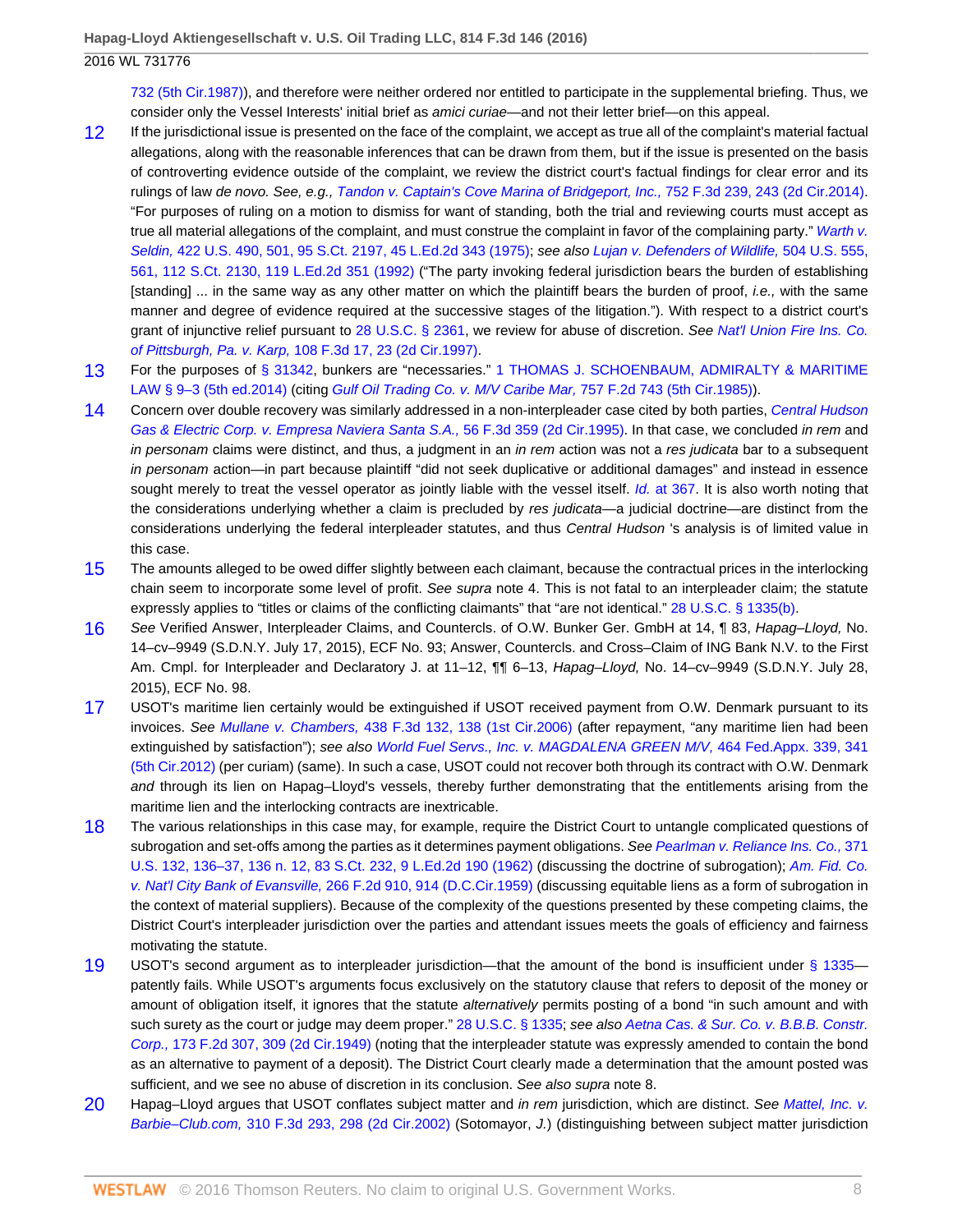2016 WL 731776

[732 \(5th Cir.1987\)](http://www.westlaw.com/Link/Document/FullText?findType=Y&serNum=1987076705&pubNum=0000350&originatingDoc=I57133910db7211e5b86bd602cb8781fa&refType=RP&fi=co_pp_sp_350_732&originationContext=document&vr=3.0&rs=cblt1.0&transitionType=DocumentItem&contextData=(sc.UserEnteredCitation)#co_pp_sp_350_732)), and therefore were neither ordered nor entitled to participate in the supplemental briefing. Thus, we consider only the Vessel Interests' initial brief as *amici curiae*—and not their letter brief—on this appeal.

- <span id="page-7-0"></span>[12](#page-3-11) If the jurisdictional issue is presented on the face of the complaint, we accept as true all of the complaint's material factual allegations, along with the reasonable inferences that can be drawn from them, but if the issue is presented on the basis of controverting evidence outside of the complaint, we review the district court's factual findings for clear error and its rulings of law de novo. See, e.g., [Tandon v. Captain's Cove Marina of Bridgeport, Inc.,](http://www.westlaw.com/Link/Document/FullText?findType=Y&serNum=2033404287&pubNum=0000506&originatingDoc=I57133910db7211e5b86bd602cb8781fa&refType=RP&fi=co_pp_sp_506_243&originationContext=document&vr=3.0&rs=cblt1.0&transitionType=DocumentItem&contextData=(sc.UserEnteredCitation)#co_pp_sp_506_243) 752 F.3d 239, 243 (2d Cir.2014). "For purposes of ruling on a motion to dismiss for want of standing, both the trial and reviewing courts must accept as true all material allegations of the complaint, and must construe the complaint in favor of the complaining party." [Warth v.](http://www.westlaw.com/Link/Document/FullText?findType=Y&serNum=1975129820&pubNum=0000708&originatingDoc=I57133910db7211e5b86bd602cb8781fa&refType=RP&originationContext=document&vr=3.0&rs=cblt1.0&transitionType=DocumentItem&contextData=(sc.UserEnteredCitation)) Seldin, [422 U.S. 490, 501, 95 S.Ct. 2197, 45 L.Ed.2d 343 \(1975\)](http://www.westlaw.com/Link/Document/FullText?findType=Y&serNum=1975129820&pubNum=0000708&originatingDoc=I57133910db7211e5b86bd602cb8781fa&refType=RP&originationContext=document&vr=3.0&rs=cblt1.0&transitionType=DocumentItem&contextData=(sc.UserEnteredCitation)); see also [Lujan v. Defenders of Wildlife,](http://www.westlaw.com/Link/Document/FullText?findType=Y&serNum=1992106162&pubNum=0000708&originatingDoc=I57133910db7211e5b86bd602cb8781fa&refType=RP&originationContext=document&vr=3.0&rs=cblt1.0&transitionType=DocumentItem&contextData=(sc.UserEnteredCitation)) 504 U.S. 555, [561, 112 S.Ct. 2130, 119 L.Ed.2d 351 \(1992\)](http://www.westlaw.com/Link/Document/FullText?findType=Y&serNum=1992106162&pubNum=0000708&originatingDoc=I57133910db7211e5b86bd602cb8781fa&refType=RP&originationContext=document&vr=3.0&rs=cblt1.0&transitionType=DocumentItem&contextData=(sc.UserEnteredCitation)) ("The party invoking federal jurisdiction bears the burden of establishing [standing] ... in the same way as any other matter on which the plaintiff bears the burden of proof, i.e., with the same manner and degree of evidence required at the successive stages of the litigation."). With respect to a district court's grant of injunctive relief pursuant to [28 U.S.C. § 2361,](http://www.westlaw.com/Link/Document/FullText?findType=L&pubNum=1000546&cite=28USCAS2361&originatingDoc=I57133910db7211e5b86bd602cb8781fa&refType=LQ&originationContext=document&vr=3.0&rs=cblt1.0&transitionType=DocumentItem&contextData=(sc.UserEnteredCitation)) we review for abuse of discretion. See [Nat'l Union Fire Ins. Co.](http://www.westlaw.com/Link/Document/FullText?findType=Y&serNum=1997062620&pubNum=0000506&originatingDoc=I57133910db7211e5b86bd602cb8781fa&refType=RP&fi=co_pp_sp_506_23&originationContext=document&vr=3.0&rs=cblt1.0&transitionType=DocumentItem&contextData=(sc.UserEnteredCitation)#co_pp_sp_506_23) of Pittsburgh, Pa. v. Karp, [108 F.3d 17, 23 \(2d Cir.1997\)](http://www.westlaw.com/Link/Document/FullText?findType=Y&serNum=1997062620&pubNum=0000506&originatingDoc=I57133910db7211e5b86bd602cb8781fa&refType=RP&fi=co_pp_sp_506_23&originationContext=document&vr=3.0&rs=cblt1.0&transitionType=DocumentItem&contextData=(sc.UserEnteredCitation)#co_pp_sp_506_23).
- <span id="page-7-1"></span>[13](#page-3-12) For the purposes of [§ 31342](http://www.westlaw.com/Link/Document/FullText?findType=L&pubNum=1000546&cite=46USCAS31342&originatingDoc=I57133910db7211e5b86bd602cb8781fa&refType=LQ&originationContext=document&vr=3.0&rs=cblt1.0&transitionType=DocumentItem&contextData=(sc.UserEnteredCitation)), bunkers are "necessaries." [1 THOMAS J. SCHOENBAUM, ADMIRALTY & MARITIME](http://www.westlaw.com/Link/Document/FullText?findType=Y&serNum=0288414673&pubNum=0154809&originatingDoc=I57133910db7211e5b86bd602cb8781fa&refType=TS&originationContext=document&vr=3.0&rs=cblt1.0&transitionType=DocumentItem&contextData=(sc.UserEnteredCitation)) [LAW § 9–3 \(5th ed.2014\)](http://www.westlaw.com/Link/Document/FullText?findType=Y&serNum=0288414673&pubNum=0154809&originatingDoc=I57133910db7211e5b86bd602cb8781fa&refType=TS&originationContext=document&vr=3.0&rs=cblt1.0&transitionType=DocumentItem&contextData=(sc.UserEnteredCitation)) (citing [Gulf Oil Trading Co. v. M/V Caribe Mar,](http://www.westlaw.com/Link/Document/FullText?findType=Y&serNum=1985117039&pubNum=0000350&originatingDoc=I57133910db7211e5b86bd602cb8781fa&refType=RP&originationContext=document&vr=3.0&rs=cblt1.0&transitionType=DocumentItem&contextData=(sc.UserEnteredCitation)) 757 F.2d 743 (5th Cir.1985)).
- <span id="page-7-2"></span>[14](#page-3-13) Concern over double recovery was similarly addressed in a non-interpleader case cited by both parties, [Central Hudson](http://www.westlaw.com/Link/Document/FullText?findType=Y&serNum=1995111603&pubNum=0000506&originatingDoc=I57133910db7211e5b86bd602cb8781fa&refType=RP&originationContext=document&vr=3.0&rs=cblt1.0&transitionType=DocumentItem&contextData=(sc.UserEnteredCitation)) [Gas & Electric Corp. v. Empresa Naviera Santa S.A.,](http://www.westlaw.com/Link/Document/FullText?findType=Y&serNum=1995111603&pubNum=0000506&originatingDoc=I57133910db7211e5b86bd602cb8781fa&refType=RP&originationContext=document&vr=3.0&rs=cblt1.0&transitionType=DocumentItem&contextData=(sc.UserEnteredCitation)) 56 F.3d 359 (2d Cir.1995). In that case, we concluded in rem and in personam claims were distinct, and thus, a judgment in an in rem action was not a res judicata bar to a subsequent in personam action—in part because plaintiff "did not seek duplicative or additional damages" and instead in essence sought merely to treat the vessel operator as jointly liable with the vessel itself. *Id.* [at 367.](http://www.westlaw.com/Link/Document/FullText?findType=Y&serNum=1995111603&pubNum=0000506&originatingDoc=I57133910db7211e5b86bd602cb8781fa&refType=RP&fi=co_pp_sp_506_367&originationContext=document&vr=3.0&rs=cblt1.0&transitionType=DocumentItem&contextData=(sc.UserEnteredCitation)#co_pp_sp_506_367) It is also worth noting that the considerations underlying whether a claim is precluded by res judicata—a judicial doctrine—are distinct from the considerations underlying the federal interpleader statutes, and thus Central Hudson 's analysis is of limited value in this case.
- <span id="page-7-3"></span>[15](#page-4-2) The amounts alleged to be owed differ slightly between each claimant, because the contractual prices in the interlocking chain seem to incorporate some level of profit. See supra note 4. This is not fatal to an interpleader claim; the statute expressly applies to "titles or claims of the conflicting claimants" that "are not identical." [28 U.S.C. § 1335\(b\)](http://www.westlaw.com/Link/Document/FullText?findType=L&pubNum=1000546&cite=28USCAS1335&originatingDoc=I57133910db7211e5b86bd602cb8781fa&refType=RB&originationContext=document&vr=3.0&rs=cblt1.0&transitionType=DocumentItem&contextData=(sc.UserEnteredCitation)#co_pp_a83b000018c76).
- <span id="page-7-4"></span>[16](#page-4-3) See Verified Answer, Interpleader Claims, and Countercls. of O.W. Bunker Ger. GmbH at 14, ¶ 83, Hapag–Lloyd, No. 14–cv–9949 (S.D.N.Y. July 17, 2015), ECF No. 93; Answer, Countercls. and Cross–Claim of ING Bank N.V. to the First Am. Cmpl. for Interpleader and Declaratory J. at 11–12, ¶¶ 6–13, Hapag–Lloyd, No. 14–cv–9949 (S.D.N.Y. July 28, 2015), ECF No. 98.
- <span id="page-7-5"></span>[17](#page-4-4) USOT's maritime lien certainly would be extinguished if USOT received payment from O.W. Denmark pursuant to its invoices. See Mullane v. Chambers, [438 F.3d 132, 138 \(1st Cir.2006\)](http://www.westlaw.com/Link/Document/FullText?findType=Y&serNum=2008535412&pubNum=0000506&originatingDoc=I57133910db7211e5b86bd602cb8781fa&refType=RP&fi=co_pp_sp_506_138&originationContext=document&vr=3.0&rs=cblt1.0&transitionType=DocumentItem&contextData=(sc.UserEnteredCitation)#co_pp_sp_506_138) (after repayment, "any maritime lien had been extinguished by satisfaction"); see also [World Fuel Servs., Inc. v. MAGDALENA GREEN M/V,](http://www.westlaw.com/Link/Document/FullText?findType=Y&serNum=2027313747&pubNum=0006538&originatingDoc=I57133910db7211e5b86bd602cb8781fa&refType=RP&fi=co_pp_sp_6538_341&originationContext=document&vr=3.0&rs=cblt1.0&transitionType=DocumentItem&contextData=(sc.UserEnteredCitation)#co_pp_sp_6538_341) 464 Fed.Appx. 339, 341 [\(5th Cir.2012\)](http://www.westlaw.com/Link/Document/FullText?findType=Y&serNum=2027313747&pubNum=0006538&originatingDoc=I57133910db7211e5b86bd602cb8781fa&refType=RP&fi=co_pp_sp_6538_341&originationContext=document&vr=3.0&rs=cblt1.0&transitionType=DocumentItem&contextData=(sc.UserEnteredCitation)#co_pp_sp_6538_341) (per curiam) (same). In such a case, USOT could not recover both through its contract with O.W. Denmark and through its lien on Hapag–Lloyd's vessels, thereby further demonstrating that the entitlements arising from the maritime lien and the interlocking contracts are inextricable.
- <span id="page-7-6"></span>[18](#page-4-5) The various relationships in this case may, for example, require the District Court to untangle complicated questions of subrogation and set-offs among the parties as it determines payment obligations. See [Pearlman v. Reliance Ins. Co.,](http://www.westlaw.com/Link/Document/FullText?findType=Y&serNum=1962127685&pubNum=0000708&originatingDoc=I57133910db7211e5b86bd602cb8781fa&refType=RP&originationContext=document&vr=3.0&rs=cblt1.0&transitionType=DocumentItem&contextData=(sc.UserEnteredCitation)) 371 [U.S. 132, 136–37, 136 n. 12, 83 S.Ct. 232, 9 L.Ed.2d 190 \(1962\)](http://www.westlaw.com/Link/Document/FullText?findType=Y&serNum=1962127685&pubNum=0000708&originatingDoc=I57133910db7211e5b86bd602cb8781fa&refType=RP&originationContext=document&vr=3.0&rs=cblt1.0&transitionType=DocumentItem&contextData=(sc.UserEnteredCitation)) (discussing the doctrine of subrogation); [Am. Fid. Co.](http://www.westlaw.com/Link/Document/FullText?findType=Y&serNum=1958100135&pubNum=0000350&originatingDoc=I57133910db7211e5b86bd602cb8781fa&refType=RP&fi=co_pp_sp_350_914&originationContext=document&vr=3.0&rs=cblt1.0&transitionType=DocumentItem&contextData=(sc.UserEnteredCitation)#co_pp_sp_350_914) v. Nat'l City Bank of Evansville, [266 F.2d 910, 914 \(D.C.Cir.1959\)](http://www.westlaw.com/Link/Document/FullText?findType=Y&serNum=1958100135&pubNum=0000350&originatingDoc=I57133910db7211e5b86bd602cb8781fa&refType=RP&fi=co_pp_sp_350_914&originationContext=document&vr=3.0&rs=cblt1.0&transitionType=DocumentItem&contextData=(sc.UserEnteredCitation)#co_pp_sp_350_914) (discussing equitable liens as a form of subrogation in the context of material suppliers). Because of the complexity of the questions presented by these competing claims, the District Court's interpleader jurisdiction over the parties and attendant issues meets the goals of efficiency and fairness motivating the statute.
- <span id="page-7-7"></span>[19](#page-4-6) USOT's second argument as to interpleader jurisdiction—that the amount of the bond is insufficient under [§ 1335](http://www.westlaw.com/Link/Document/FullText?findType=L&pubNum=1000546&cite=28USCAS1335&originatingDoc=I57133910db7211e5b86bd602cb8781fa&refType=LQ&originationContext=document&vr=3.0&rs=cblt1.0&transitionType=DocumentItem&contextData=(sc.UserEnteredCitation)) patently fails. While USOT's arguments focus exclusively on the statutory clause that refers to deposit of the money or amount of obligation itself, it ignores that the statute alternatively permits posting of a bond "in such amount and with such surety as the court or judge may deem proper." [28 U.S.C. § 1335;](http://www.westlaw.com/Link/Document/FullText?findType=L&pubNum=1000546&cite=28USCAS1335&originatingDoc=I57133910db7211e5b86bd602cb8781fa&refType=LQ&originationContext=document&vr=3.0&rs=cblt1.0&transitionType=DocumentItem&contextData=(sc.UserEnteredCitation)) see also [Aetna Cas. & Sur. Co. v. B.B.B. Constr.](http://www.westlaw.com/Link/Document/FullText?findType=Y&serNum=1949115855&pubNum=0000350&originatingDoc=I57133910db7211e5b86bd602cb8781fa&refType=RP&fi=co_pp_sp_350_309&originationContext=document&vr=3.0&rs=cblt1.0&transitionType=DocumentItem&contextData=(sc.UserEnteredCitation)#co_pp_sp_350_309) Corp., [173 F.2d 307, 309 \(2d Cir.1949\)](http://www.westlaw.com/Link/Document/FullText?findType=Y&serNum=1949115855&pubNum=0000350&originatingDoc=I57133910db7211e5b86bd602cb8781fa&refType=RP&fi=co_pp_sp_350_309&originationContext=document&vr=3.0&rs=cblt1.0&transitionType=DocumentItem&contextData=(sc.UserEnteredCitation)#co_pp_sp_350_309) (noting that the interpleader statute was expressly amended to contain the bond as an alternative to payment of a deposit). The District Court clearly made a determination that the amount posted was sufficient, and we see no abuse of discretion in its conclusion. See also supra note 8.
- <span id="page-7-8"></span>[20](#page-4-7) Hapag–Lloyd argues that USOT conflates subject matter and in rem jurisdiction, which are distinct. See [Mattel, Inc. v.](http://www.westlaw.com/Link/Document/FullText?findType=Y&serNum=2002707129&pubNum=0000506&originatingDoc=I57133910db7211e5b86bd602cb8781fa&refType=RP&fi=co_pp_sp_506_298&originationContext=document&vr=3.0&rs=cblt1.0&transitionType=DocumentItem&contextData=(sc.UserEnteredCitation)#co_pp_sp_506_298) Barbie–Club.com, [310 F.3d 293, 298 \(2d Cir.2002\)](http://www.westlaw.com/Link/Document/FullText?findType=Y&serNum=2002707129&pubNum=0000506&originatingDoc=I57133910db7211e5b86bd602cb8781fa&refType=RP&fi=co_pp_sp_506_298&originationContext=document&vr=3.0&rs=cblt1.0&transitionType=DocumentItem&contextData=(sc.UserEnteredCitation)#co_pp_sp_506_298) (Sotomayor, J.) (distinguishing between subject matter jurisdiction